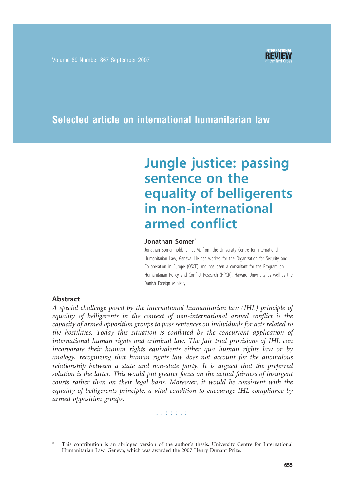Volume 89 Number 867 September 2007



# Selected article on international humanitarian law

# Jungle justice: passing sentence on the equality of belligerents in non-international armed conflict

#### Jonathan Somer\*

Jonathan Somer holds an LL.M. from the University Centre for International Humanitarian Law, Geneva. He has worked for the Organization for Security and Co-operation in Europe (OSCE) and has been a consultant for the Program on Humanitarian Policy and Conflict Research (HPCR), Harvard University as well as the Danish Foreign Ministry.

#### Abstract

A special challenge posed by the international humanitarian law (IHL) principle of equality of belligerents in the context of non-international armed conflict is the capacity of armed opposition groups to pass sentences on individuals for acts related to the hostilities. Today this situation is conflated by the concurrent application of international human rights and criminal law. The fair trial provisions of IHL can incorporate their human rights equivalents either qua human rights law or by analogy, recognizing that human rights law does not account for the anomalous relationship between a state and non-state party. It is argued that the preferred solution is the latter. This would put greater focus on the actual fairness of insurgent courts rather than on their legal basis. Moreover, it would be consistent with the equality of belligerents principle, a vital condition to encourage IHL compliance by armed opposition groups.

## **Editoria**

This contribution is an abridged version of the author's thesis, University Centre for International Humanitarian Law, Geneva, which was awarded the 2007 Henry Dunant Prize.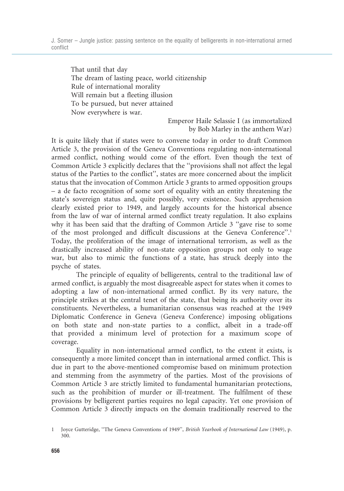That until that day The dream of lasting peace, world citizenship Rule of international morality Will remain but a fleeting illusion To be pursued, but never attained Now everywhere is war.

Emperor Haile Selassie I (as immortalized by Bob Marley in the anthem War)

It is quite likely that if states were to convene today in order to draft Common Article 3, the provision of the Geneva Conventions regulating non-international armed conflict, nothing would come of the effort. Even though the text of Common Article 3 explicitly declares that the ''provisions shall not affect the legal status of the Parties to the conflict'', states are more concerned about the implicit status that the invocation of Common Article 3 grants to armed opposition groups – a de facto recognition of some sort of equality with an entity threatening the state's sovereign status and, quite possibly, very existence. Such apprehension clearly existed prior to 1949, and largely accounts for the historical absence from the law of war of internal armed conflict treaty regulation. It also explains why it has been said that the drafting of Common Article 3 ''gave rise to some of the most prolonged and difficult discussions at the Geneva Conference".<sup>1</sup> Today, the proliferation of the image of international terrorism, as well as the drastically increased ability of non-state opposition groups not only to wage war, but also to mimic the functions of a state, has struck deeply into the psyche of states.

The principle of equality of belligerents, central to the traditional law of armed conflict, is arguably the most disagreeable aspect for states when it comes to adopting a law of non-international armed conflict. By its very nature, the principle strikes at the central tenet of the state, that being its authority over its constituents. Nevertheless, a humanitarian consensus was reached at the 1949 Diplomatic Conference in Geneva (Geneva Conference) imposing obligations on both state and non-state parties to a conflict, albeit in a trade-off that provided a minimum level of protection for a maximum scope of coverage.

Equality in non-international armed conflict, to the extent it exists, is consequently a more limited concept than in international armed conflict. This is due in part to the above-mentioned compromise based on minimum protection and stemming from the asymmetry of the parties. Most of the provisions of Common Article 3 are strictly limited to fundamental humanitarian protections, such as the prohibition of murder or ill-treatment. The fulfilment of these provisions by belligerent parties requires no legal capacity. Yet one provision of Common Article 3 directly impacts on the domain traditionally reserved to the

<sup>1</sup> Joyce Gutteridge, ''The Geneva Conventions of 1949'', British Yearbook of International Law (1949), p. 300.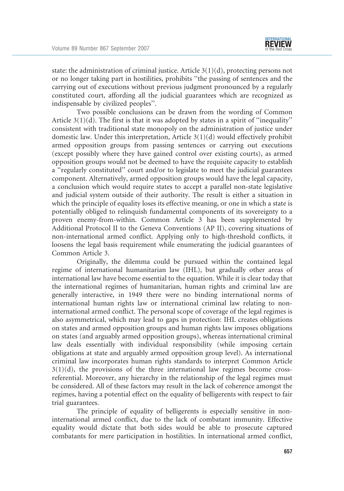

state: the administration of criminal justice. Article 3(1)(d), protecting persons not or no longer taking part in hostilities, prohibits ''the passing of sentences and the carrying out of executions without previous judgment pronounced by a regularly constituted court, affording all the judicial guarantees which are recognized as indispensable by civilized peoples''.

Two possible conclusions can be drawn from the wording of Common Article  $3(1)(d)$ . The first is that it was adopted by states in a spirit of "inequality" consistent with traditional state monopoly on the administration of justice under domestic law. Under this interpretation, Article 3(1)(d) would effectively prohibit armed opposition groups from passing sentences or carrying out executions (except possibly where they have gained control over existing courts), as armed opposition groups would not be deemed to have the requisite capacity to establish a ''regularly constituted'' court and/or to legislate to meet the judicial guarantees component. Alternatively, armed opposition groups would have the legal capacity, a conclusion which would require states to accept a parallel non-state legislative and judicial system outside of their authority. The result is either a situation in which the principle of equality loses its effective meaning, or one in which a state is potentially obliged to relinquish fundamental components of its sovereignty to a proven enemy-from-within. Common Article 3 has been supplemented by Additional Protocol II to the Geneva Conventions (AP II), covering situations of non-international armed conflict. Applying only to high-threshold conflicts, it loosens the legal basis requirement while enumerating the judicial guarantees of Common Article 3.

Originally, the dilemma could be pursued within the contained legal regime of international humanitarian law (IHL), but gradually other areas of international law have become essential to the equation. While it is clear today that the international regimes of humanitarian, human rights and criminal law are generally interactive, in 1949 there were no binding international norms of international human rights law or international criminal law relating to noninternational armed conflict. The personal scope of coverage of the legal regimes is also asymmetrical, which may lead to gaps in protection: IHL creates obligations on states and armed opposition groups and human rights law imposes obligations on states (and arguably armed opposition groups), whereas international criminal law deals essentially with individual responsibility (while imposing certain obligations at state and arguably armed opposition group level). As international criminal law incorporates human rights standards to interpret Common Article  $3(1)(d)$ , the provisions of the three international law regimes become crossreferential. Moreover, any hierarchy in the relationship of the legal regimes must be considered. All of these factors may result in the lack of coherence amongst the regimes, having a potential effect on the equality of belligerents with respect to fair trial guarantees.

The principle of equality of belligerents is especially sensitive in noninternational armed conflict, due to the lack of combatant immunity. Effective equality would dictate that both sides would be able to prosecute captured combatants for mere participation in hostilities. In international armed conflict,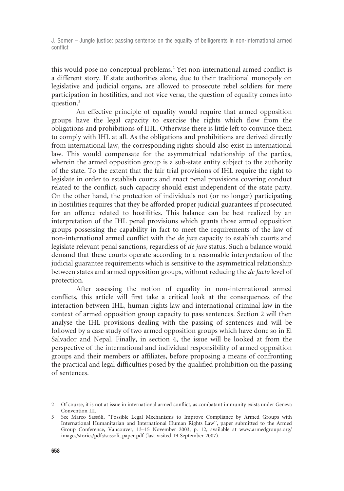this would pose no conceptual problems.<sup>2</sup> Yet non-international armed conflict is a different story. If state authorities alone, due to their traditional monopoly on legislative and judicial organs, are allowed to prosecute rebel soldiers for mere participation in hostilities, and not vice versa, the question of equality comes into question.<sup>3</sup>

An effective principle of equality would require that armed opposition groups have the legal capacity to exercise the rights which flow from the obligations and prohibitions of IHL. Otherwise there is little left to convince them to comply with IHL at all. As the obligations and prohibitions are derived directly from international law, the corresponding rights should also exist in international law. This would compensate for the asymmetrical relationship of the parties, wherein the armed opposition group is a sub-state entity subject to the authority of the state. To the extent that the fair trial provisions of IHL require the right to legislate in order to establish courts and enact penal provisions covering conduct related to the conflict, such capacity should exist independent of the state party. On the other hand, the protection of individuals not (or no longer) participating in hostilities requires that they be afforded proper judicial guarantees if prosecuted for an offence related to hostilities. This balance can be best realized by an interpretation of the IHL penal provisions which grants those armed opposition groups possessing the capability in fact to meet the requirements of the law of non-international armed conflict with the de jure capacity to establish courts and legislate relevant penal sanctions, regardless of de jure status. Such a balance would demand that these courts operate according to a reasonable interpretation of the judicial guarantee requirements which is sensitive to the asymmetrical relationship between states and armed opposition groups, without reducing the de facto level of protection.

After assessing the notion of equality in non-international armed conflicts, this article will first take a critical look at the consequences of the interaction between IHL, human rights law and international criminal law in the context of armed opposition group capacity to pass sentences. Section 2 will then analyse the IHL provisions dealing with the passing of sentences and will be followed by a case study of two armed opposition groups which have done so in El Salvador and Nepal. Finally, in section 4, the issue will be looked at from the perspective of the international and individual responsibility of armed opposition groups and their members or affiliates, before proposing a means of confronting the practical and legal difficulties posed by the qualified prohibition on the passing of sentences.

<sup>2</sup> Of course, it is not at issue in international armed conflict, as combatant immunity exists under Geneva Convention III.

<sup>3</sup> See Marco Sassòli, "Possible Legal Mechanisms to Improve Compliance by Armed Groups with International Humanitarian and International Human Rights Law'', paper submitted to the Armed Group Conference, Vancouver, 13–15 November 2003, p. 12, available at www.armedgroups.org/ images/stories/pdfs/sassoli\_paper.pdf (last visited 19 September 2007).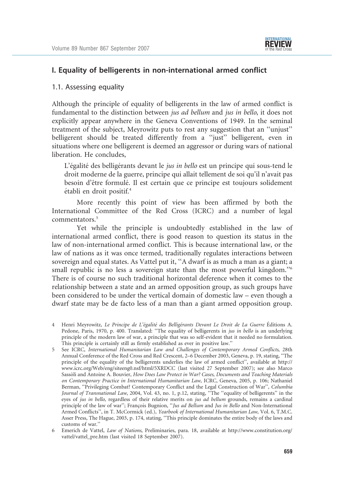

# I. Equality of belligerents in non-international armed conflict

# 1.1. Assessing equality

Although the principle of equality of belligerents in the law of armed conflict is fundamental to the distinction between jus ad bellum and jus in bello, it does not explicitly appear anywhere in the Geneva Conventions of 1949. In the seminal treatment of the subject, Meyrowitz puts to rest any suggestion that an ''unjust'' belligerent should be treated differently from a ''just'' belligerent, even in situations where one belligerent is deemed an aggressor or during wars of national liberation. He concludes,

L'égalité des belligérants devant le *jus in bello* est un principe qui sous-tend le droit moderne de la guerre, principe qui allait tellement de soi qu'il n'avait pas besoin d'être formulé. Il est certain que ce principe est toujours solidement établi en droit positif.<sup>4</sup>

More recently this point of view has been affirmed by both the International Committee of the Red Cross (ICRC) and a number of legal commentators.<sup>5</sup>

Yet while the principle is undoubtedly established in the law of international armed conflict, there is good reason to question its status in the law of non-international armed conflict. This is because international law, or the law of nations as it was once termed, traditionally regulates interactions between sovereign and equal states. As Vattel put it, ''A dwarf is as much a man as a giant; a small republic is no less a sovereign state than the most powerful kingdom."<sup>6</sup> There is of course no such traditional horizontal deference when it comes to the relationship between a state and an armed opposition group, as such groups have been considered to be under the vertical domain of domestic law – even though a dwarf state may be de facto less of a man than a giant armed opposition group.

4 Henri Meyrowitz, Le Principe de L'égalité des Belligérants Devant Le Droit de La Guerre Éditions A. Pedone, Paris, 1970, p. 400. Translated: "The equality of belligerents in jus in bello is an underlying principle of the modern law of war, a principle that was so self-evident that it needed no formulation. This principle is certainly still as firmly established as ever in positive law.''

5 See ICRC, International Humanitarian Law and Challenges of Contemporary Armed Conflicts, 28th Annual Conference of the Red Cross and Red Crescent, 2–6 December 2003, Geneva, p. 19, stating, ''The principle of the equality of the belligerents underlies the law of armed conflict'', available at http:// www.icrc.org/Web/eng/siteeng0.nsf/html/5XRDCC (last visited 27 September 2007); see also Marco Sassòli and Antoine A. Bouvier, How Does Law Protect in War? Cases, Documents and Teaching Materials on Contemporary Practice in International Humanitarian Law, ICRC, Geneva, 2005, p. 106; Nathaniel Berman, ''Privileging Combat? Contemporary Conflict and the Legal Construction of War'', Columbia Journal of Transnational Law, 2004, Vol. 43, no. 1, p.12, stating, ''The ''equality of belligerents'' in the eyes of jus in bello, regardless of their relative merits on jus ad bellum grounds, remains a cardinal principle of the law of war"; François Bugnion, "Jus ad Bellum and Jus in Bello and Non-International Armed Conflicts'', in T. McCormick (ed.), Yearbook of International Humanitarian Law, Vol. 6, T.M.C. Asser Press, The Hague, 2003, p. 174, stating, ''This principle dominates the entire body of the laws and customs of war.''

6 Emerich de Vattel, Law of Nations, Preliminaries, para. 18, available at http://www.constitution.org/ vattel/vattel\_pre.htm (last visited 18 September 2007).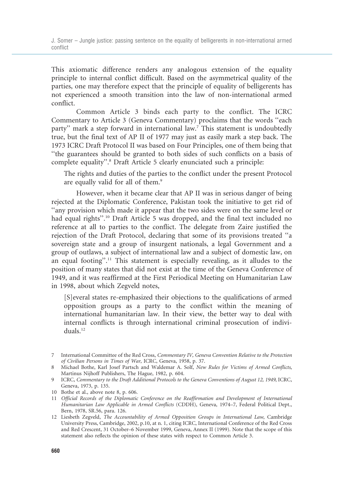This axiomatic difference renders any analogous extension of the equality principle to internal conflict difficult. Based on the asymmetrical quality of the parties, one may therefore expect that the principle of equality of belligerents has not experienced a smooth transition into the law of non-international armed conflict.

Common Article 3 binds each party to the conflict. The ICRC Commentary to Article 3 (Geneva Commentary) proclaims that the words ''each party" mark a step forward in international law.<sup>7</sup> This statement is undoubtedly true, but the final text of AP II of 1977 may just as easily mark a step back. The 1973 ICRC Draft Protocol II was based on Four Principles, one of them being that ''the guarantees should be granted to both sides of such conflicts on a basis of complete equality''.8 Draft Article 5 clearly enunciated such a principle:

The rights and duties of the parties to the conflict under the present Protocol are equally valid for all of them.<sup>9</sup>

However, when it became clear that AP II was in serious danger of being rejected at the Diplomatic Conference, Pakistan took the initiative to get rid of ''any provision which made it appear that the two sides were on the same level or had equal rights".<sup>10</sup> Draft Article 5 was dropped, and the final text included no reference at all to parties to the conflict. The delegate from Zaire justified the rejection of the Draft Protocol, declaring that some of its provisions treated ''a sovereign state and a group of insurgent nationals, a legal Government and a group of outlaws, a subject of international law and a subject of domestic law, on an equal footing''.11 This statement is especially revealing, as it alludes to the position of many states that did not exist at the time of the Geneva Conference of 1949, and it was reaffirmed at the First Periodical Meeting on Humanitarian Law in 1998, about which Zegveld notes,

[S]everal states re-emphasized their objections to the qualifications of armed opposition groups as a party to the conflict within the meaning of international humanitarian law. In their view, the better way to deal with internal conflicts is through international criminal prosecution of individuals.12

<sup>7</sup> International Committee of the Red Cross, Commentary IV, Geneva Convention Relative to the Protection of Civilian Persons in Times of War, ICRC, Geneva, 1958, p. 37.

<sup>8</sup> Michael Bothe, Karl Josef Partsch and Waldemar A. Solf, New Rules for Victims of Armed Conflicts, Martinus Nijhoff Publishers, The Hague, 1982, p. 604.

<sup>9</sup> ICRC, Commentary to the Draft Additional Protocols to the Geneva Conventions of August 12, 1949, ICRC, Geneva, 1973, p. 135.

<sup>10</sup> Bothe et al., above note 8, p. 606.

<sup>11</sup> Official Records of the Diplomatic Conference on the Reaffirmation and Development of International Humanitarian Law Applicable in Armed Conflicts (CDDH), Geneva, 1974–7, Federal Political Dept., Bern, 1978, SR.56, para. 126.

<sup>12</sup> Liesbeth Zegveld, The Accountability of Armed Opposition Groups in International Law, Cambridge University Press, Cambridge, 2002, p.10, at n. 1, citing ICRC, International Conference of the Red Cross and Red Crescent, 31 October–6 November 1999, Geneva, Annex II (1999). Note that the scope of this statement also reflects the opinion of these states with respect to Common Article 3.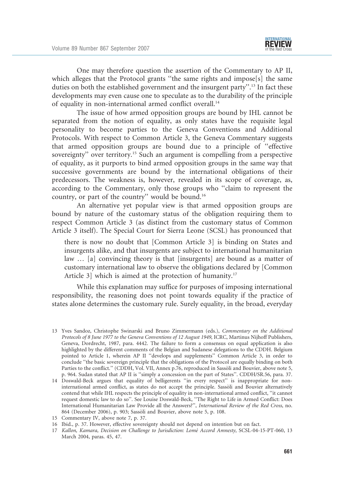One may therefore question the assertion of the Commentary to AP II, which alleges that the Protocol grants "the same rights and impose[s] the same duties on both the established government and the insurgent party".<sup>13</sup> In fact these developments may even cause one to speculate as to the durability of the principle of equality in non-international armed conflict overall.<sup>14</sup>

The issue of how armed opposition groups are bound by IHL cannot be separated from the notion of equality, as only states have the requisite legal personality to become parties to the Geneva Conventions and Additional Protocols. With respect to Common Article 3, the Geneva Commentary suggests that armed opposition groups are bound due to a principle of ''effective sovereignty'' over territory.15 Such an argument is compelling from a perspective of equality, as it purports to bind armed opposition groups in the same way that successive governments are bound by the international obligations of their predecessors. The weakness is, however, revealed in its scope of coverage, as, according to the Commentary, only those groups who ''claim to represent the country, or part of the country'' would be bound.16

An alternative yet popular view is that armed opposition groups are bound by nature of the customary status of the obligation requiring them to respect Common Article 3 (as distinct from the customary status of Common Article 3 itself). The Special Court for Sierra Leone (SCSL) has pronounced that

there is now no doubt that [Common Article 3] is binding on States and insurgents alike, and that insurgents are subject to international humanitarian law … [a] convincing theory is that [insurgents] are bound as a matter of customary international law to observe the obligations declared by [Common Article 3] which is aimed at the protection of humanity.<sup>17</sup>

While this explanation may suffice for purposes of imposing international responsibility, the reasoning does not point towards equality if the practice of states alone determines the customary rule. Surely equality, in the broad, everyday

<sup>13</sup> Yves Sandoz, Christophe Swinarski and Bruno Zimmermann (eds.), Commentary on the Additional Protocols of 8 June 1977 to the Geneva Conventions of 12 August 1949, ICRC, Martinus Nijhoff Publishers, Geneva, Dordrecht, 1987, para. 4442. The failure to form a consensus on equal application is also highlighted by the different comments of the Belgian and Sudanese delegations to the CDDH. Belgium pointed to Article 1, wherein AP II ''develops and supplements'' Common Article 3, in order to conclude ''the basic sovereign principle that the obligations of the Protocol are equally binding on both Parties to the conflict." (CDDH, Vol. VII, Annex p.76, reproduced in Sassoli and Bouvier, above note 5, p. 964. Sudan stated that AP II is ''simply a concession on the part of States''. CDDH/SR.56, para. 37.

<sup>14</sup> Doswald-Beck argues that equality of belligerents ''in every respect'' is inappropriate for noninternational armed conflict, as states do not accept the principle. Sassoli and Bouvier alternatively contend that while IHL respects the principle of equality in non-international armed conflict, ''it cannot request domestic law to do so''. See Louise Doswald-Beck, ''The Right to Life in Armed Conflict: Does International Humanitarian Law Provide all the Answers?'', International Review of the Red Cross, no. 864 (December 2006), p. 903; Sassòli and Bouvier, above note 5, p. 108.

<sup>15</sup> Commentary IV, above note 7, p. 37.

<sup>16</sup> Ibid., p. 37. However, effective sovereignty should not depend on intention but on fact.

<sup>17</sup> Kallon, Kamara, Decision on Challenge to Jurisdiction: Lome´ Accord Amnesty, SCSL-04-15-PT-060, 13 March 2004, paras. 45, 47.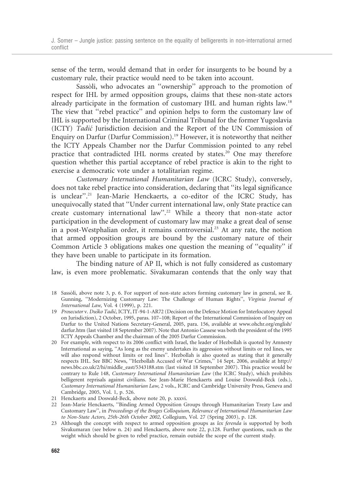sense of the term, would demand that in order for insurgents to be bound by a customary rule, their practice would need to be taken into account.

Sassòli, who advocates an "ownership" approach to the promotion of respect for IHL by armed opposition groups, claims that these non-state actors already participate in the formation of customary IHL and human rights law.<sup>18</sup> The view that ''rebel practice'' and opinion helps to form the customary law of IHL is supported by the International Criminal Tribunal for the former Yugoslavia (ICTY) Tadic´ Jurisdiction decision and the Report of the UN Commission of Enquiry on Darfur (Darfur Commission).19 However, it is noteworthy that neither the ICTY Appeals Chamber nor the Darfur Commission pointed to any rebel practice that contradicted IHL norms created by states.<sup>20</sup> One may therefore question whether this partial acceptance of rebel practice is akin to the right to exercise a democratic vote under a totalitarian regime.

Customary International Humanitarian Law (ICRC Study), conversely, does not take rebel practice into consideration, declaring that ''its legal significance is unclear".<sup>21</sup> Jean-Marie Henckaerts, a co-editor of the ICRC Study, has unequivocally stated that ''Under current international law, only State practice can create customary international law''.22 While a theory that non-state actor participation in the development of customary law may make a great deal of sense in a post-Westphalian order, it remains controversial.<sup>23</sup> At any rate, the notion that armed opposition groups are bound by the customary nature of their Common Article 3 obligations makes one question the meaning of ''equality'' if they have been unable to participate in its formation.

The binding nature of AP II, which is not fully considered as customary law, is even more problematic. Sivakumaran contends that the only way that

- 18 Sassòli, above note 3, p. 6. For support of non-state actors forming customary law in general, see R. Gunning, ''Modernizing Customary Law: The Challenge of Human Rights'', Virginia Journal of International Law, Vol. 4 (1999), p. 221.
- 19 Prosecutor v. Duško Tadić, ICTY, IT-94-1-AR72 (Decision on the Defence Motion for Interlocutory Appeal on Jurisdiction), 2 October, 1995, paras. 107–108; Report of the International Commission of Inquiry on Darfur to the United Nations Secretary-General, 2005, para. 156, available at www.ohchr.org/english/ darfur.htm (last visited 18 September 2007). Note that Antonio Cassese was both the president of the 1995 ICTY Appeals Chamber and the chairman of the 2005 Darfur Commission.
- 20 For example, with respect to its 2006 conflict with Israel, the leader of Hezbollah is quoted by Amnesty International as saying, ''As long as the enemy undertakes its aggression without limits or red lines, we will also respond without limits or red lines''. Hezbollah is also quoted as stating that it generally respects IHL. See BBC News, ''Hezbollah Accused of War Crimes,'' 14 Sept. 2006, available at http:// news.bbc.co.uk/2/hi/middle\_east/5343188.stm (last visited 18 September 2007). This practice would be contrary to Rule 148, Customary International Humanitarian Law (the ICRC Study), which prohibits belligerent reprisals against civilians. See Jean-Marie Henckaerts and Louise Doswald-Beck (eds.), Customary International Humanitarian Law, 2 vols., ICRC and Cambridge University Press, Geneva and Cambridge, 2005, Vol. 1, p. 526.
- 21 Henckaerts and Doswald-Beck, above note 20, p. xxxvi.
- 22 Jean-Marie Henckaerts, ''Binding Armed Opposition Groups through Humanitarian Treaty Law and Customary Law'', in Proceedings of the Bruges Colloquium, Relevance of International Humanitarian Law to Non-State Actors, 25th-26th October 2002, Collegium, Vol. 27 (Spring 2003), p. 128.
- 23 Although the concept with respect to armed opposition groups as lex ferenda is supported by both Sivakumaran (see below n. 24) and Henckaerts, above note 22, p.128. Further questions, such as the weight which should be given to rebel practice, remain outside the scope of the current study.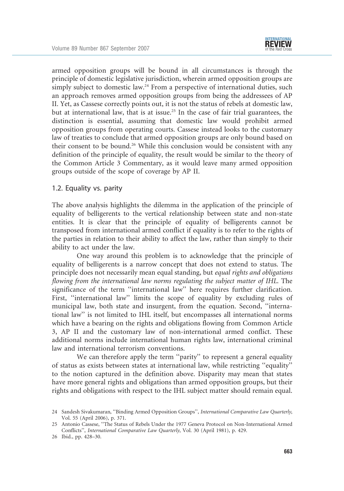

armed opposition groups will be bound in all circumstances is through the principle of domestic legislative jurisdiction, wherein armed opposition groups are simply subject to domestic law.<sup>24</sup> From a perspective of international duties, such an approach removes armed opposition groups from being the addressees of AP II. Yet, as Cassese correctly points out, it is not the status of rebels at domestic law, but at international law, that is at issue.<sup>25</sup> In the case of fair trial guarantees, the distinction is essential, assuming that domestic law would prohibit armed opposition groups from operating courts. Cassese instead looks to the customary law of treaties to conclude that armed opposition groups are only bound based on their consent to be bound.<sup>26</sup> While this conclusion would be consistent with any definition of the principle of equality, the result would be similar to the theory of the Common Article 3 Commentary, as it would leave many armed opposition groups outside of the scope of coverage by AP II.

# 1.2. Equality vs. parity

The above analysis highlights the dilemma in the application of the principle of equality of belligerents to the vertical relationship between state and non-state entities. It is clear that the principle of equality of belligerents cannot be transposed from international armed conflict if equality is to refer to the rights of the parties in relation to their ability to affect the law, rather than simply to their ability to act under the law.

One way around this problem is to acknowledge that the principle of equality of belligerents is a narrow concept that does not extend to status. The principle does not necessarily mean equal standing, but equal rights and obligations flowing from the international law norms regulating the subject matter of IHL. The significance of the term ''international law'' here requires further clarification. First, "international law" limits the scope of equality by excluding rules of municipal law, both state and insurgent, from the equation. Second, ''international law'' is not limited to IHL itself, but encompasses all international norms which have a bearing on the rights and obligations flowing from Common Article 3, AP II and the customary law of non-international armed conflict. These additional norms include international human rights law, international criminal law and international terrorism conventions.

We can therefore apply the term "parity" to represent a general equality of status as exists between states at international law, while restricting ''equality'' to the notion captured in the definition above. Disparity may mean that states have more general rights and obligations than armed opposition groups, but their rights and obligations with respect to the IHL subject matter should remain equal.

<sup>24</sup> Sandesh Sivakumaran, ''Binding Armed Opposition Groups'', International Comparative Law Quarterly, Vol. 55 (April 2006), p. 371.

<sup>25</sup> Antonio Cassese, ''The Status of Rebels Under the 1977 Geneva Protocol on Non-International Armed Conflicts'', International Comparative Law Quarterly, Vol. 30 (April 1981), p. 429.

<sup>26</sup> Ibid., pp. 428–30.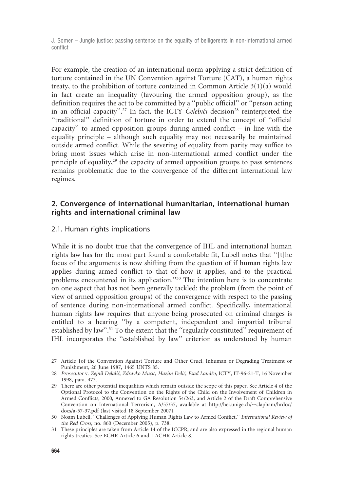For example, the creation of an international norm applying a strict definition of torture contained in the UN Convention against Torture (CAT), a human rights treaty, to the prohibition of torture contained in Common Article 3(1)(a) would in fact create an inequality (favouring the armed opposition group), as the definition requires the act to be committed by a ''public official'' or ''person acting in an official capacity".<sup>27</sup> In fact, the ICTY Celebici decision<sup>28</sup> reinterpreted the ''traditional'' definition of torture in order to extend the concept of ''official capacity'' to armed opposition groups during armed conflict – in line with the equality principle – although such equality may not necessarily be maintained outside armed conflict. While the severing of equality from parity may suffice to bring most issues which arise in non-international armed conflict under the principle of equality, $29$  the capacity of armed opposition groups to pass sentences remains problematic due to the convergence of the different international law regimes.

# 2. Convergence of international humanitarian, international human rights and international criminal law

# 2.1. Human rights implications

While it is no doubt true that the convergence of IHL and international human rights law has for the most part found a comfortable fit, Lubell notes that ''[t]he focus of the arguments is now shifting from the question of if human rights law applies during armed conflict to that of how it applies, and to the practical problems encountered in its application.''30 The intention here is to concentrate on one aspect that has not been generally tackled: the problem (from the point of view of armed opposition groups) of the convergence with respect to the passing of sentence during non-international armed conflict. Specifically, international human rights law requires that anyone being prosecuted on criminal charges is entitled to a hearing ''by a competent, independent and impartial tribunal established by law".<sup>31</sup> To the extent that the "regularly constituted" requirement of IHL incorporates the ''established by law'' criterion as understood by human

<sup>27</sup> Article 1of the Convention Against Torture and Other Cruel, Inhuman or Degrading Treatment or Punishment, 26 June 1987, 1465 UNTS 85.

<sup>28</sup> Prosecutor v. Zejnil Delalić, Zdravko Mucić, Hazim Delić, Esad Landžo, ICTY, IT-96-21-T, 16 November 1998, para. 473.

<sup>29</sup> There are other potential inequalities which remain outside the scope of this paper. See Article 4 of the Optional Protocol to the Convention on the Rights of the Child on the Involvement of Children in Armed Conflicts, 2000, Annexed to GA Resolution 54/263, and Article 2 of the Draft Comprehensive Convention on International Terrorism, A/57/37, available at http://hei.unige.ch/~clapham/hrdoc/ docs/a-57-37.pdf (last visited 18 September 2007).

<sup>30</sup> Noam Lubell, "Challenges of Applying Human Rights Law to Armed Conflict," International Review of the Red Cross, no. 860 (December 2005), p. 738.

<sup>31</sup> These principles are taken from Article 14 of the ICCPR, and are also expressed in the regional human rights treaties. See ECHR Article 6 and I-ACHR Article 8.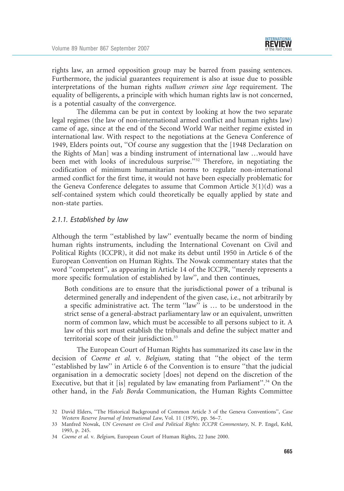

rights law, an armed opposition group may be barred from passing sentences. Furthermore, the judicial guarantees requirement is also at issue due to possible interpretations of the human rights nullum crimen sine lege requirement. The equality of belligerents, a principle with which human rights law is not concerned, is a potential casualty of the convergence.

The dilemma can be put in context by looking at how the two separate legal regimes (the law of non-international armed conflict and human rights law) came of age, since at the end of the Second World War neither regime existed in international law. With respect to the negotiations at the Geneva Conference of 1949, Elders points out, ''Of course any suggestion that the [1948 Declaration on the Rights of Man] was a binding instrument of international law …would have been met with looks of incredulous surprise."<sup>32</sup> Therefore, in negotiating the codification of minimum humanitarian norms to regulate non-international armed conflict for the first time, it would not have been especially problematic for the Geneva Conference delegates to assume that Common Article 3(1)(d) was a self-contained system which could theoretically be equally applied by state and non-state parties.

#### 2.1.1. Established by law

Although the term ''established by law'' eventually became the norm of binding human rights instruments, including the International Covenant on Civil and Political Rights (ICCPR), it did not make its debut until 1950 in Article 6 of the European Convention on Human Rights. The Nowak commentary states that the word ''competent'', as appearing in Article 14 of the ICCPR, ''merely represents a more specific formulation of established by law'', and then continues,

Both conditions are to ensure that the jurisdictional power of a tribunal is determined generally and independent of the given case, i.e., not arbitrarily by a specific administrative act. The term ''law'' is … to be understood in the strict sense of a general-abstract parliamentary law or an equivalent, unwritten norm of common law, which must be accessible to all persons subject to it. A law of this sort must establish the tribunals and define the subject matter and territorial scope of their jurisdiction.<sup>33</sup>

The European Court of Human Rights has summarized its case law in the decision of Coeme et al. v. Belgium, stating that ''the object of the term ''established by law'' in Article 6 of the Convention is to ensure ''that the judicial organisation in a democratic society [does] not depend on the discretion of the Executive, but that it [is] regulated by law emanating from Parliament".<sup>34</sup> On the other hand, in the Fals Borda Communication, the Human Rights Committee

<sup>32</sup> David Elders, ''The Historical Background of Common Article 3 of the Geneva Conventions'', Case Western Reserve Journal of International Law, Vol. 11 (1979), pp. 56–7.

<sup>33</sup> Manfred Nowak, UN Covenant on Civil and Political Rights: ICCPR Commentary, N. P. Engel, Kehl, 1993, p. 245.

<sup>34</sup> Coeme et al. v. Belgium, European Court of Human Rights, 22 June 2000.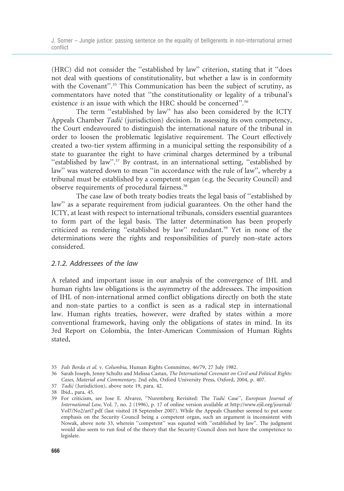(HRC) did not consider the ''established by law'' criterion, stating that it ''does not deal with questions of constitutionality, but whether a law is in conformity with the Covenant".<sup>35</sup> This Communication has been the subject of scrutiny, as commentators have noted that ''the constitutionality or legality of a tribunal's existence *is* an issue with which the HRC should be concerned".<sup>36</sup>

The term "established by law" has also been considered by the ICTY Appeals Chamber Tadić (jurisdiction) decision. In assessing its own competency, the Court endeavoured to distinguish the international nature of the tribunal in order to loosen the problematic legislative requirement. The Court effectively created a two-tier system affirming in a municipal setting the responsibility of a state to guarantee the right to have criminal charges determined by a tribunal ''established by law''.37 By contrast, in an international setting, ''established by law'' was watered down to mean ''in accordance with the rule of law'', whereby a tribunal must be established by a competent organ (e.g. the Security Council) and observe requirements of procedural fairness.<sup>38</sup>

The case law of both treaty bodies treats the legal basis of ''established by law'' as a separate requirement from judicial guarantees. On the other hand the ICTY, at least with respect to international tribunals, considers essential guarantees to form part of the legal basis. The latter determination has been properly criticized as rendering "established by law" redundant.<sup>39</sup> Yet in none of the determinations were the rights and responsibilities of purely non-state actors considered.

#### 2.1.2. Addressees of the law

A related and important issue in our analysis of the convergence of IHL and human rights law obligations is the asymmetry of the addressees. The imposition of IHL of non-international armed conflict obligations directly on both the state and non-state parties to a conflict is seen as a radical step in international law. Human rights treaties, however, were drafted by states within a more conventional framework, having only the obligations of states in mind. In its 3rd Report on Colombia, the Inter-American Commission of Human Rights stated,

<sup>35</sup> Fals Borda et al. v. Columbia, Human Rights Committee, 46/79, 27 July 1982.

<sup>36</sup> Sarah Joseph, Jenny Schultz and Melissa Castan, The International Covenant on Civil and Political Rights: Cases, Material and Commentary, 2nd edn, Oxford University Press, Oxford, 2004, p. 407.

<sup>37</sup> Tadić (Jurisdiction), above note 19, para. 42.

<sup>38</sup> Ibid., para. 45.

<sup>39</sup> For criticism, see Jose E. Alvarez, "Nuremberg Revisited: The Tadić Case", European Journal of International Law, Vol. 7, no. 2 (1996), p. 17 of online version available at http://www.ejil.org/journal/ Vol7/No2/art7.pdf (last visited 18 September 2007). While the Appeals Chamber seemed to put some emphasis on the Security Council being a competent organ, such an argument is inconsistent with Nowak, above note 33, wherein ''competent'' was equated with ''established by law''. The judgment would also seem to run foul of the theory that the Security Council does not have the competence to legislate.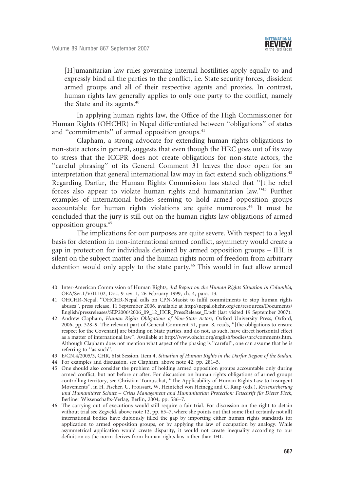[H]umanitarian law rules governing internal hostilities apply equally to and expressly bind all the parties to the conflict, i.e. State security forces, dissident armed groups and all of their respective agents and proxies. In contrast, human rights law generally applies to only one party to the conflict, namely the State and its agents.<sup>40</sup>

In applying human rights law, the Office of the High Commissioner for Human Rights (OHCHR) in Nepal differentiated between ''obligations'' of states and "commitments" of armed opposition groups.<sup>41</sup>

Clapham, a strong advocate for extending human rights obligations to non-state actors in general, suggests that even though the HRC goes out of its way to stress that the ICCPR does not create obligations for non-state actors, the "careful phrasing" of its General Comment 31 leaves the door open for an interpretation that general international law may in fact extend such obligations.<sup>42</sup> Regarding Darfur, the Human Rights Commission has stated that ''[t]he rebel forces also appear to violate human rights and humanitarian law.''43 Further examples of international bodies seeming to hold armed opposition groups accountable for human rights violations are quite numerous.44 It must be concluded that the jury is still out on the human rights law obligations of armed opposition groups.45

The implications for our purposes are quite severe. With respect to a legal basis for detention in non-international armed conflict, asymmetry would create a gap in protection for individuals detained by armed opposition groups – IHL is silent on the subject matter and the human rights norm of freedom from arbitrary detention would only apply to the state party.46 This would in fact allow armed

- 43 E/CN.4/2005/3, CHR, 61st Session, Item 4, Situation of Human Rights in the Darfur Region of the Sudan.
- 44 For examples and discussion, see Clapham, above note 42, pp. 281–5.
- 45 One should also consider the problem of holding armed opposition groups accountable only during armed conflict, but not before or after. For discussion on human rights obligations of armed groups controlling territory, see Christian Tomuschat, ''The Applicability of Human Rights Law to Insurgent Movements'', in H. Fischer, U. Froissart, W. Heintchel von Heinegg and C. Raap (eds.), Krisensicherung und Humanitärer Schutz – Crisis Management and Humanitarian Protection: Fetschrift für Dieter Fleck, Berliner Wissenschafts-Verlag, Berlin, 2004, pp. 586–7.
- 46 The carrying out of executions would still require a fair trial. For discussion on the right to detain without trial see Zegveld, above note 12, pp. 65-7, where she points out that some (but certainly not all) international bodies have dubiously filled the gap by importing either human rights standards for application to armed opposition groups, or by applying the law of occupation by analogy. While asymmetrical application would create disparity, it would not create inequality according to our definition as the norm derives from human rights law rather than IHL.

<sup>40</sup> Inter-American Commission of Human Rights, 3rd Report on the Human Rights Situation in Columbia, OEA/Ser.L/V/II.102, Doc. 9 rev. 1, 26 February 1999, ch. 4, para. 13.

<sup>41</sup> OHCHR-Nepal, ''OHCHR-Nepal calls on CPN-Maoist to fulfil commitments to stop human rights abuses'', press release, 11 September 2006, available at http://nepal.ohchr.org/en/resources/Documents/ English/pressreleases/SEP2006/2006\_09\_12\_HCR\_PressRelease\_E.pdf (last visited 19 September 2007).

<sup>42</sup> Andrew Clapham, Human Rights Obligations of Non-State Actors, Oxford University Press, Oxford, 2006, pp. 328–9. The relevant part of General Comment 31, para. 8, reads, ''[the obligations to ensure respect for the Covenant] are binding on State parties, and do not, as such, have direct horizontal effect as a matter of international law''. Available at http://www.ohchr.org/english/bodies/hrc/comments.htm. Although Clapham does not mention what aspect of the phasing is ''careful'', one can assume that he is referring to "as such".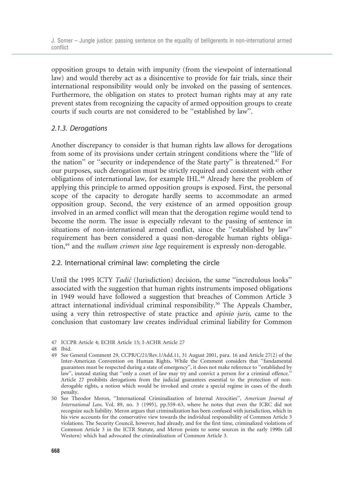opposition groups to detain with impunity (from the viewpoint of international law) and would thereby act as a disincentive to provide for fair trials, since their international responsibility would only be invoked on the passing of sentences. Furthermore, the obligation on states to protect human rights may at any rate prevent states from recognizing the capacity of armed opposition groups to create courts if such courts are not considered to be ''established by law''.

# 2.1.3. Derogations

Another discrepancy to consider is that human rights law allows for derogations from some of its provisions under certain stringent conditions where the ''life of the nation" or "security or independence of the State party" is threatened.<sup>47</sup> For our purposes, such derogation must be strictly required and consistent with other obligations of international law, for example IHL.<sup>48</sup> Already here the problem of applying this principle to armed opposition groups is exposed. First, the personal scope of the capacity to derogate hardly seems to accommodate an armed opposition group. Second, the very existence of an armed opposition group involved in an armed conflict will mean that the derogation regime would tend to become the norm. The issue is especially relevant to the passing of sentence in situations of non-international armed conflict, since the ''established by law'' requirement has been considered a quasi non-derogable human rights obligation,<sup>49</sup> and the *nullum crimen sine lege* requirement is expressly non-derogable.

# 2.2. International criminal law: completing the circle

Until the 1995 ICTY *Tadić* (Jurisdiction) decision, the same "incredulous looks" associated with the suggestion that human rights instruments imposed obligations in 1949 would have followed a suggestion that breaches of Common Article 3 attract international individual criminal responsibility.<sup>50</sup> The Appeals Chamber, using a very thin retrospective of state practice and opinio juris, came to the conclusion that customary law creates individual criminal liability for Common

48 Ibid.

<sup>47</sup> ICCPR Article 4; ECHR Article 15; I-ACHR Article 27

<sup>49</sup> See General Comment 29, CCPR/C/21/Rev.1/Add.11, 31 August 2001, para. 16 and Article 27(2) of the Inter-American Convention on Human Rights. While the Comment considers that ''fundamental guarantees must be respected during a state of emergency'', it does not make reference to ''established by law'', instead stating that ''only a court of law may try and convict a person for a criminal offence.'' Article 27 prohibits derogations from the judicial guarantees essential to the protection of nonderogable rights, a notion which would be invoked and create a special regime in cases of the death penalty.

<sup>50</sup> See Theodor Meron, ''International Criminalization of Internal Atrocities'', American Journal of International Law, Vol. 89, no. 3 (1995), pp.559–63, where he notes that even the ICRC did not recognize such liability. Meron argues that criminalization has been confused with jurisdiction, which in his view accounts for the conservative view towards the individual responsibility of Common Article 3 violations. The Security Council, however, had already, and for the first time, criminalized violations of Common Article 3 in the ICTR Statute, and Meron points to some sources in the early 1990s (all Western) which had advocated the criminalization of Common Article 3.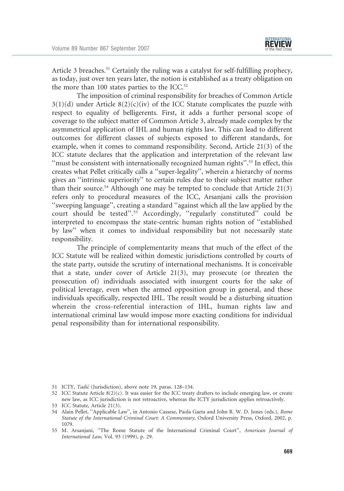

Article 3 breaches.<sup>51</sup> Certainly the ruling was a catalyst for self-fulfilling prophecy, as today, just over ten years later, the notion is established as a treaty obligation on the more than 100 states parties to the ICC.<sup>52</sup>

The imposition of criminal responsibility for breaches of Common Article  $3(1)(d)$  under Article  $8(2)(c)(iv)$  of the ICC Statute complicates the puzzle with respect to equality of belligerents. First, it adds a further personal scope of coverage to the subject matter of Common Article 3, already made complex by the asymmetrical application of IHL and human rights law. This can lead to different outcomes for different classes of subjects exposed to different standards, for example, when it comes to command responsibility. Second, Article 21(3) of the ICC statute declares that the application and interpretation of the relevant law "must be consistent with internationally recognized human rights".<sup>53</sup> In effect, this creates what Pellet critically calls a ''super-legality'', wherein a hierarchy of norms gives an ''intrinsic superiority'' to certain rules due to their subject matter rather than their source.<sup>54</sup> Although one may be tempted to conclude that Article  $21(3)$ refers only to procedural measures of the ICC, Arsanjani calls the provision ''sweeping language'', creating a standard ''against which all the law applied by the court should be tested''.55 Accordingly, ''regularly constituted'' could be interpreted to encompass the state-centric human rights notion of ''established by law'' when it comes to individual responsibility but not necessarily state responsibility.

The principle of complementarity means that much of the effect of the ICC Statute will be realized within domestic jurisdictions controlled by courts of the state party, outside the scrutiny of international mechanisms. It is conceivable that a state, under cover of Article 21(3), may prosecute (or threaten the prosecution of) individuals associated with insurgent courts for the sake of political leverage, even when the armed opposition group in general, and these individuals specifically, respected IHL. The result would be a disturbing situation wherein the cross-referential interaction of IHL, human rights law and international criminal law would impose more exacting conditions for individual penal responsibility than for international responsibility.

51 ICTY, Tadić (Jurisdiction), above note 19, paras. 128-134.

<sup>52</sup> ICC Statute Article  $8(2)(c)$ . It was easier for the ICC treaty drafters to include emerging law, or create new law, as ICC jurisdiction is not retroactive, whereas the ICTY jurisdiction applies retroactively.

<sup>53</sup> ICC Statute, Article 21(3).

<sup>54</sup> Alain Pellet, ''Applicable Law'', in Antonio Cassese, Paola Gaeta and John R. W. D. Jones (eds.), Rome Statute of the International Criminal Court: A Commentary, Oxford University Press, Oxford, 2002, p. 1079.

<sup>55</sup> M. Arsanjani, "The Rome Statute of the International Criminal Court", American Journal of International Law, Vol. 93 (1999), p. 29.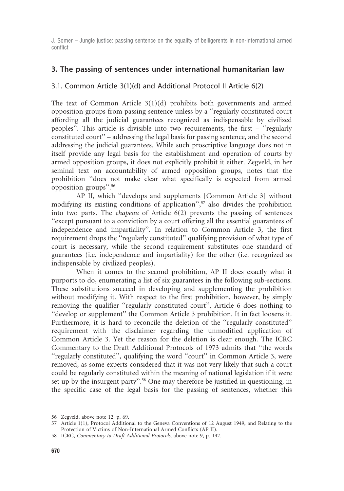# 3. The passing of sentences under international humanitarian law

# 3.1. Common Article 3(1)(d) and Additional Protocol II Article 6(2)

The text of Common Article 3(1)(d) prohibits both governments and armed opposition groups from passing sentence unless by a ''regularly constituted court affording all the judicial guarantees recognized as indispensable by civilized peoples''. This article is divisible into two requirements, the first – ''regularly constituted court'' – addressing the legal basis for passing sentence, and the second addressing the judicial guarantees. While such proscriptive language does not in itself provide any legal basis for the establishment and operation of courts by armed opposition groups, it does not explicitly prohibit it either. Zegveld, in her seminal text on accountability of armed opposition groups, notes that the prohibition ''does not make clear what specifically is expected from armed opposition groups''.56

AP II, which ''develops and supplements [Common Article 3] without modifying its existing conditions of application",<sup>57</sup> also divides the prohibition into two parts. The chapeau of Article 6(2) prevents the passing of sentences ''except pursuant to a conviction by a court offering all the essential guarantees of independence and impartiality''. In relation to Common Article 3, the first requirement drops the ''regularly constituted'' qualifying provision of what type of court is necessary, while the second requirement substitutes one standard of guarantees (i.e. independence and impartiality) for the other (i.e. recognized as indispensable by civilized peoples).

When it comes to the second prohibition, AP II does exactly what it purports to do, enumerating a list of six guarantees in the following sub-sections. These substitutions succeed in developing and supplementing the prohibition without modifying it. With respect to the first prohibition, however, by simply removing the qualifier ''regularly constituted court'', Article 6 does nothing to ''develop or supplement'' the Common Article 3 prohibition. It in fact loosens it. Furthermore, it is hard to reconcile the deletion of the "regularly constituted" requirement with the disclaimer regarding the unmodified application of Common Article 3. Yet the reason for the deletion is clear enough. The ICRC Commentary to the Draft Additional Protocols of 1973 admits that ''the words "regularly constituted", qualifying the word "court" in Common Article 3, were removed, as some experts considered that it was not very likely that such a court could be regularly constituted within the meaning of national legislation if it were set up by the insurgent party".<sup>58</sup> One may therefore be justified in questioning, in the specific case of the legal basis for the passing of sentences, whether this

<sup>56</sup> Zegveld, above note 12, p. 69.

<sup>57</sup> Article 1(1), Protocol Additional to the Geneva Conventions of 12 August 1949, and Relating to the Protection of Victims of Non-International Armed Conflicts (AP II).

<sup>58</sup> ICRC, Commentary to Draft Additional Protocols, above note 9, p. 142.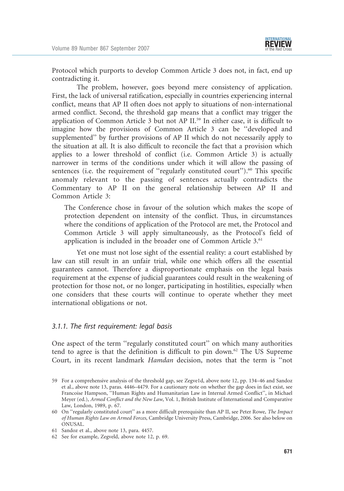

Protocol which purports to develop Common Article 3 does not, in fact, end up contradicting it.

The problem, however, goes beyond mere consistency of application. First, the lack of universal ratification, especially in countries experiencing internal conflict, means that AP II often does not apply to situations of non-international armed conflict. Second, the threshold gap means that a conflict may trigger the application of Common Article 3 but not AP II.<sup>59</sup> In either case, it is difficult to imagine how the provisions of Common Article 3 can be ''developed and supplemented'' by further provisions of AP II which do not necessarily apply to the situation at all. It is also difficult to reconcile the fact that a provision which applies to a lower threshold of conflict (i.e. Common Article 3) is actually narrower in terms of the conditions under which it will allow the passing of sentences (i.e. the requirement of "regularly constituted court").<sup>60</sup> This specific anomaly relevant to the passing of sentences actually contradicts the Commentary to AP II on the general relationship between AP II and Common Article 3:

The Conference chose in favour of the solution which makes the scope of protection dependent on intensity of the conflict. Thus, in circumstances where the conditions of application of the Protocol are met, the Protocol and Common Article 3 will apply simultaneously, as the Protocol's field of application is included in the broader one of Common Article 3.<sup>61</sup>

Yet one must not lose sight of the essential reality: a court established by law can still result in an unfair trial, while one which offers all the essential guarantees cannot. Therefore a disproportionate emphasis on the legal basis requirement at the expense of judicial guarantees could result in the weakening of protection for those not, or no longer, participating in hostilities, especially when one considers that these courts will continue to operate whether they meet international obligations or not.

#### 3.1.1. The first requirement: legal basis

One aspect of the term ''regularly constituted court'' on which many authorities tend to agree is that the definition is difficult to pin down.62 The US Supreme Court, in its recent landmark Hamdan decision, notes that the term is ''not

<sup>59</sup> For a comprehensive analysis of the threshold gap, see Zegve1d, above note 12, pp. 134–46 and Sandoz et al., above note 13, paras. 4446–4479. For a cautionary note on whether the gap does in fact exist, see Francoise Hampson, ''Human Rights and Humanitarian Law in Internal Armed Conflict'', in Michael Meyer (ed.), Armed Conflict and the New Law, Vol. 1, British Institute of International and Comparative Law, London, 1989, p. 67.

<sup>60</sup> On ''regularly constituted court'' as a more difficult prerequisite than AP II, see Peter Rowe, The Impact of Human Rights Law on Armed Forces, Cambridge University Press, Cambridge, 2006. See also below on ONUSAL.

<sup>61</sup> Sandoz et al., above note 13, para. 4457.

<sup>62</sup> See for example, Zegveld, above note 12, p. 69.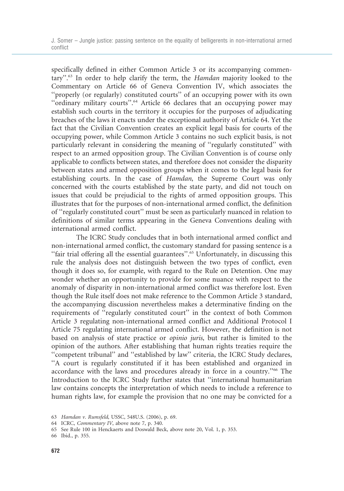specifically defined in either Common Article 3 or its accompanying commentary''.63 In order to help clarify the term, the Hamdan majority looked to the Commentary on Article 66 of Geneva Convention IV, which associates the ''properly (or regularly) constituted courts'' of an occupying power with its own ''ordinary military courts''.64 Article 66 declares that an occupying power may establish such courts in the territory it occupies for the purposes of adjudicating breaches of the laws it enacts under the exceptional authority of Article 64. Yet the fact that the Civilian Convention creates an explicit legal basis for courts of the occupying power, while Common Article 3 contains no such explicit basis, is not particularly relevant in considering the meaning of ''regularly constituted'' with respect to an armed opposition group. The Civilian Convention is of course only applicable to conflicts between states, and therefore does not consider the disparity between states and armed opposition groups when it comes to the legal basis for establishing courts. In the case of Hamdan, the Supreme Court was only concerned with the courts established by the state party, and did not touch on issues that could be prejudicial to the rights of armed opposition groups. This illustrates that for the purposes of non-international armed conflict, the definition of ''regularly constituted court'' must be seen as particularly nuanced in relation to definitions of similar terms appearing in the Geneva Conventions dealing with international armed conflict.

The ICRC Study concludes that in both international armed conflict and non-international armed conflict, the customary standard for passing sentence is a "fair trial offering all the essential guarantees".<sup>65</sup> Unfortunately, in discussing this rule the analysis does not distinguish between the two types of conflict, even though it does so, for example, with regard to the Rule on Detention. One may wonder whether an opportunity to provide for some nuance with respect to the anomaly of disparity in non-international armed conflict was therefore lost. Even though the Rule itself does not make reference to the Common Article 3 standard, the accompanying discussion nevertheless makes a determinative finding on the requirements of ''regularly constituted court'' in the context of both Common Article 3 regulating non-international armed conflict and Additional Protocol I Article 75 regulating international armed conflict. However, the definition is not based on analysis of state practice or opinio juris, but rather is limited to the opinion of the authors. After establishing that human rights treaties require the ''competent tribunal'' and ''established by law'' criteria, the ICRC Study declares, ''A court is regularly constituted if it has been established and organized in accordance with the laws and procedures already in force in a country."<sup>66</sup> The Introduction to the ICRC Study further states that ''international humanitarian law contains concepts the interpretation of which needs to include a reference to human rights law, for example the provision that no one may be convicted for a

<sup>63</sup> Hamdan v. Rumsfeld, USSC, 548U.S. (2006), p. 69.

<sup>64</sup> ICRC, Commentary IV, above note 7, p. 340.

<sup>65</sup> See Rule 100 in Henckaerts and Doswald Beck, above note 20, Vol. 1, p. 353.

<sup>66</sup> Ibid., p. 355.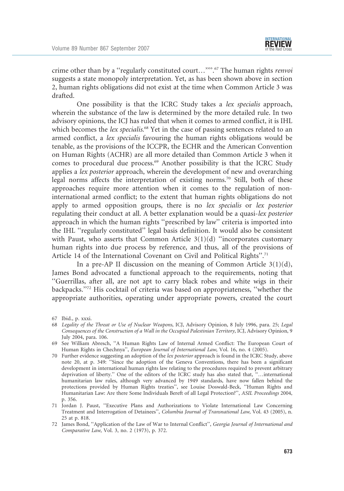

crime other than by a "regularly constituted court..."".<sup>67</sup> The human rights renvoi suggests a state monopoly interpretation. Yet, as has been shown above in section 2, human rights obligations did not exist at the time when Common Article 3 was drafted.

One possibility is that the ICRC Study takes a lex specialis approach, wherein the substance of the law is determined by the more detailed rule. In two advisory opinions, the ICJ has ruled that when it comes to armed conflict, it is IHL which becomes the lex specialis.<sup>68</sup> Yet in the case of passing sentences related to an armed conflict, a lex specialis favouring the human rights obligations would be tenable, as the provisions of the ICCPR, the ECHR and the American Convention on Human Rights (ACHR) are all more detailed than Common Article 3 when it comes to procedural due process.<sup>69</sup> Another possibility is that the ICRC Study applies a lex posterior approach, wherein the development of new and overarching legal norms affects the interpretation of existing norms.<sup>70</sup> Still, both of these approaches require more attention when it comes to the regulation of noninternational armed conflict; to the extent that human rights obligations do not apply to armed opposition groups, there is no lex specialis or lex posterior regulating their conduct at all. A better explanation would be a quasi-lex posterior approach in which the human rights ''prescribed by law'' criteria is imported into the IHL ''regularly constituted'' legal basis definition. It would also be consistent with Paust, who asserts that Common Article  $3(1)(d)$  "incorporates customary human rights into due process by reference, and thus, all of the provisions of Article 14 of the International Covenant on Civil and Political Rights".<sup>71</sup>

In a pre-AP II discussion on the meaning of Common Article  $3(1)(d)$ , James Bond advocated a functional approach to the requirements, noting that ''Guerrillas, after all, are not apt to carry black robes and white wigs in their backpacks.''72 His cocktail of criteria was based on appropriateness, ''whether the appropriate authorities, operating under appropriate powers, created the court

<sup>67</sup> Ibid., p. xxxi.

<sup>68</sup> Legality of the Threat or Use of Nuclear Weapons, ICJ, Advisory Opinion, 8 July 1996, para. 25; Legal Consequences of the Construction of a Wall in the Occupied Palestinian Territory, ICJ, Advisory Opinion, 9 July 2004, para. 106.

<sup>69</sup> See William Abresch, ''A Human Rights Law of Internal Armed Conflict: The European Court of Human Rights in Chechnya'', European Journal of International Law, Vol. 16, no. 4 (2005).

<sup>70</sup> Further evidence suggesting an adoption of the lex posterior approach is found in the ICRC Study, above note 20, at p. 349: ''Since the adoption of the Geneva Conventions, there has been a significant development in international human rights law relating to the procedures required to prevent arbitrary deprivation of liberty.'' One of the editors of the ICRC study has also stated that, ''…international humanitarian law rules, although very advanced by 1949 standards, have now fallen behind the protections provided by Human Rights treaties'', see Louise Doswald-Beck, ''Human Rights and Humanitarian Law: Are there Some Individuals Bereft of all Legal Protection?'', ASIL Proceedings 2004, p. 356.

<sup>71</sup> Jordan J. Paust, ''Executive Plans and Authorizations to Violate International Law Concerning Treatment and Interrogation of Detainees'', Columbia Journal of Transnational Law, Vol. 43 (2005), n. 25 at p. 818.

<sup>72</sup> James Bond, ''Application of the Law of War to Internal Conflict'', Georgia Journal of International and Comparative Law, Vol. 3, no. 2 (1973), p. 372.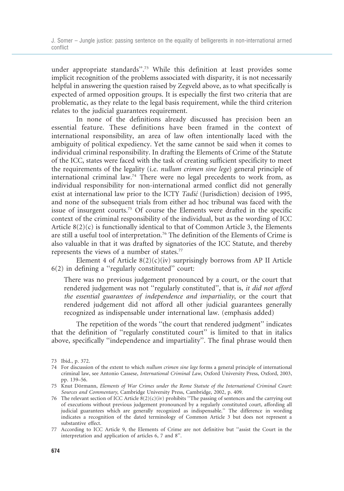under appropriate standards''.73 While this definition at least provides some implicit recognition of the problems associated with disparity, it is not necessarily helpful in answering the question raised by Zegveld above, as to what specifically is expected of armed opposition groups. It is especially the first two criteria that are problematic, as they relate to the legal basis requirement, while the third criterion relates to the judicial guarantees requirement.

In none of the definitions already discussed has precision been an essential feature. These definitions have been framed in the context of international responsibility, an area of law often intentionally laced with the ambiguity of political expediency. Yet the same cannot be said when it comes to individual criminal responsibility. In drafting the Elements of Crime of the Statute of the ICC, states were faced with the task of creating sufficient specificity to meet the requirements of the legality (i.e. nullum crimen sine lege) general principle of international criminal law.74 There were no legal precedents to work from, as individual responsibility for non-international armed conflict did not generally exist at international law prior to the ICTY Tadić (Jurisdiction) decision of 1995, and none of the subsequent trials from either ad hoc tribunal was faced with the issue of insurgent courts.75 Of course the Elements were drafted in the specific context of the criminal responsibility of the individual, but as the wording of ICC Article  $8(2)(c)$  is functionally identical to that of Common Article 3, the Elements are still a useful tool of interpretation.76 The definition of the Elements of Crime is also valuable in that it was drafted by signatories of the ICC Statute, and thereby represents the views of a number of states.<sup>77</sup>

Element 4 of Article  $8(2)(c)(iv)$  surprisingly borrows from AP II Article  $6(2)$  in defining a "regularly constituted" court:

There was no previous judgement pronounced by a court, or the court that rendered judgement was not "regularly constituted", that is, it did not afford the essential guarantees of independence and impartiality, or the court that rendered judgement did not afford all other judicial guarantees generally recognized as indispensable under international law. (emphasis added)

The repetition of the words ''the court that rendered judgment'' indicates that the definition of ''regularly constituted court'' is limited to that in italics above, specifically ''independence and impartiality''. The final phrase would then

<sup>73</sup> Ibid., p. 372.

<sup>74</sup> For discussion of the extent to which nullum crimen sine lege forms a general principle of international criminal law, see Antonio Cassese, International Criminal Law, Oxford University Press, Oxford, 2003, pp. 139–56.

<sup>75</sup> Knut Dörmann, Elements of War Crimes under the Rome Statute of the International Criminal Court: Sources and Commentary, Cambridge University Press, Cambridge, 2002, p. 409.

<sup>76</sup> The relevant section of ICC Article  $8(2)(c)(iv)$  prohibits "The passing of sentences and the carrying out of executions without previous judgement pronounced by a regularly constituted court, affording all judicial guarantees which are generally recognized as indispensable.'' The difference in wording indicates a recognition of the dated terminology of Common Article 3 but does not represent a substantive effect.

<sup>77</sup> According to ICC Article 9, the Elements of Crime are not definitive but ''assist the Court in the interpretation and application of articles 6, 7 and 8''.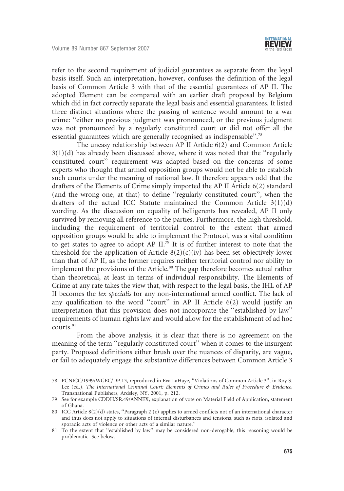

refer to the second requirement of judicial guarantees as separate from the legal basis itself. Such an interpretation, however, confuses the definition of the legal basis of Common Article 3 with that of the essential guarantees of AP II. The adopted Element can be compared with an earlier draft proposal by Belgium which did in fact correctly separate the legal basis and essential guarantees. It listed three distinct situations where the passing of sentence would amount to a war crime: ''either no previous judgment was pronounced, or the previous judgment was not pronounced by a regularly constituted court or did not offer all the essential guarantees which are generally recognised as indispensable''.78

The uneasy relationship between AP II Article 6(2) and Common Article  $3(1)(d)$  has already been discussed above, where it was noted that the "regularly" constituted court" requirement was adapted based on the concerns of some experts who thought that armed opposition groups would not be able to establish such courts under the meaning of national law. It therefore appears odd that the drafters of the Elements of Crime simply imported the AP II Article 6(2) standard (and the wrong one, at that) to define ''regularly constituted court'', when the drafters of the actual ICC Statute maintained the Common Article 3(1)(d) wording. As the discussion on equality of belligerents has revealed, AP II only survived by removing all reference to the parties. Furthermore, the high threshold, including the requirement of territorial control to the extent that armed opposition groups would be able to implement the Protocol, was a vital condition to get states to agree to adopt AP II.79 It is of further interest to note that the threshold for the application of Article  $8(2)(c)(iv)$  has been set objectively lower than that of AP II, as the former requires neither territorial control nor ability to implement the provisions of the Article.<sup>80</sup> The gap therefore becomes actual rather than theoretical, at least in terms of individual responsibility. The Elements of Crime at any rate takes the view that, with respect to the legal basis, the IHL of AP II becomes the lex specialis for any non-international armed conflict. The lack of any qualification to the word "court" in AP II Article  $6(2)$  would justify an interpretation that this provision does not incorporate the ''established by law'' requirements of human rights law and would allow for the establishment of ad hoc courts.81

From the above analysis, it is clear that there is no agreement on the meaning of the term "regularly constituted court" when it comes to the insurgent party. Proposed definitions either brush over the nuances of disparity, are vague, or fail to adequately engage the substantive differences between Common Article 3

<sup>78</sup> PCNICC/1999/WGEC/DP.13, reproduced in Eva LaHaye, ''Violations of Common Article 3'', in Roy S. Lee (ed.), The International Criminal Court: Elements of Crimes and Rules of Procedure & Evidence, Transnational Publishers, Ardsley, NY, 2001, p. 212.

<sup>79</sup> See for example CDDH/SR.49/ANNEX, explanation of vote on Material Field of Application, statement of Ghana.

<sup>80</sup> ICC Article 8(2)(d) states, ''Paragraph 2 (c) applies to armed conflicts not of an international character and thus does not apply to situations of internal disturbances and tensions, such as riots, isolated and sporadic acts of violence or other acts of a similar nature.''

<sup>81</sup> To the extent that ''established by law'' may be considered non-derogable, this reasoning would be problematic. See below.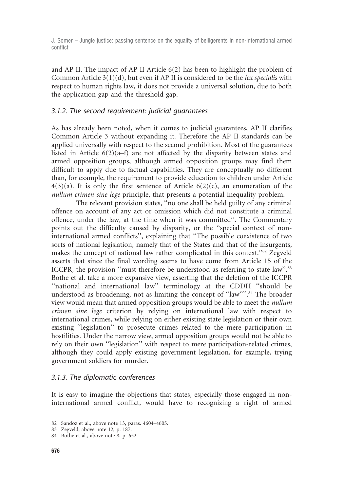and AP II. The impact of AP II Article 6(2) has been to highlight the problem of Common Article 3(1)(d), but even if AP II is considered to be the lex specialis with respect to human rights law, it does not provide a universal solution, due to both the application gap and the threshold gap.

# 3.1.2. The second requirement: judicial guarantees

As has already been noted, when it comes to judicial guarantees, AP II clarifies Common Article 3 without expanding it. Therefore the AP II standards can be applied universally with respect to the second prohibition. Most of the guarantees listed in Article 6(2)(a–f) are not affected by the disparity between states and armed opposition groups, although armed opposition groups may find them difficult to apply due to factual capabilities. They are conceptually no different than, for example, the requirement to provide education to children under Article  $4(3)(a)$ . It is only the first sentence of Article  $6(2)(c)$ , an enumeration of the nullum crimen sine lege principle, that presents a potential inequality problem.

The relevant provision states, ''no one shall be held guilty of any criminal offence on account of any act or omission which did not constitute a criminal offence, under the law, at the time when it was committed''. The Commentary points out the difficulty caused by disparity, or the ''special context of noninternational armed conflicts'', explaining that ''The possible coexistence of two sorts of national legislation, namely that of the States and that of the insurgents, makes the concept of national law rather complicated in this context.''82 Zegveld asserts that since the final wording seems to have come from Article 15 of the ICCPR, the provision "must therefore be understood as referring to state law".<sup>83</sup> Bothe et al. take a more expansive view, asserting that the deletion of the ICCPR ''national and international law'' terminology at the CDDH ''should be understood as broadening, not as limiting the concept of "law"".<sup>84</sup> The broader view would mean that armed opposition groups would be able to meet the nullum crimen sine lege criterion by relying on international law with respect to international crimes, while relying on either existing state legislation or their own existing ''legislation'' to prosecute crimes related to the mere participation in hostilities. Under the narrow view, armed opposition groups would not be able to rely on their own ''legislation'' with respect to mere participation-related crimes, although they could apply existing government legislation, for example, trying government soldiers for murder.

# 3.1.3. The diplomatic conferences

It is easy to imagine the objections that states, especially those engaged in noninternational armed conflict, would have to recognizing a right of armed

<sup>82</sup> Sandoz et al., above note 13, paras. 4604–4605.

<sup>83</sup> Zegveld, above note 12, p. 187.

<sup>84</sup> Bothe et al., above note 8, p. 652.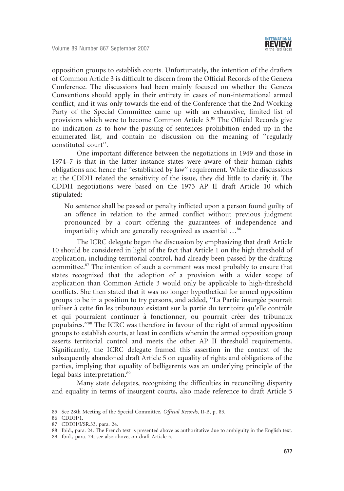opposition groups to establish courts. Unfortunately, the intention of the drafters of Common Article 3 is difficult to discern from the Official Records of the Geneva Conference. The discussions had been mainly focused on whether the Geneva Conventions should apply in their entirety in cases of non-international armed conflict, and it was only towards the end of the Conference that the 2nd Working Party of the Special Committee came up with an exhaustive, limited list of provisions which were to become Common Article 3.85 The Official Records give no indication as to how the passing of sentences prohibition ended up in the enumerated list, and contain no discussion on the meaning of ''regularly constituted court''.

One important difference between the negotiations in 1949 and those in 1974–7 is that in the latter instance states were aware of their human rights obligations and hence the ''established by law'' requirement. While the discussions at the CDDH related the sensitivity of the issue, they did little to clarify it. The CDDH negotiations were based on the 1973 AP II draft Article 10 which stipulated:

No sentence shall be passed or penalty inflicted upon a person found guilty of an offence in relation to the armed conflict without previous judgment pronounced by a court offering the guarantees of independence and impartiality which are generally recognized as essential …86

The ICRC delegate began the discussion by emphasizing that draft Article 10 should be considered in light of the fact that Article 1 on the high threshold of application, including territorial control, had already been passed by the drafting committee.87 The intention of such a comment was most probably to ensure that states recognized that the adoption of a provision with a wider scope of application than Common Article 3 would only be applicable to high-threshold conflicts. She then stated that it was no longer hypothetical for armed opposition groups to be in a position to try persons, and added, "La Partie insurgée pourrait utiliser à cette fin les tribunaux existant sur la partie du territoire qu'elle contrôle et qui pourraient continuer à fonctionner, ou pourrait créer des tribunaux populaires.''88 The ICRC was therefore in favour of the right of armed opposition groups to establish courts, at least in conflicts wherein the armed opposition group asserts territorial control and meets the other AP II threshold requirements. Significantly, the ICRC delegate framed this assertion in the context of the subsequently abandoned draft Article 5 on equality of rights and obligations of the parties, implying that equality of belligerents was an underlying principle of the legal basis interpretation.<sup>89</sup>

Many state delegates, recognizing the difficulties in reconciling disparity and equality in terms of insurgent courts, also made reference to draft Article 5

<sup>85</sup> See 28th Meeting of the Special Committee, Official Records, II-B, p. 83.

<sup>86</sup> CDDH/1.

<sup>87</sup> CDDH/I/SR.33, para. 24.

<sup>88</sup> Ibid., para. 24. The French text is presented above as authoritative due to ambiguity in the English text.

<sup>89</sup> Ibid., para. 24; see also above, on draft Article 5.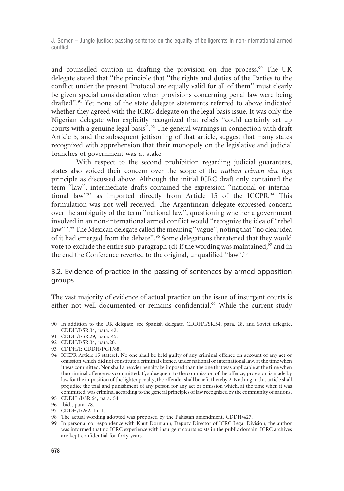and counselled caution in drafting the provision on due process.<sup>90</sup> The UK delegate stated that ''the principle that ''the rights and duties of the Parties to the conflict under the present Protocol are equally valid for all of them'' must clearly be given special consideration when provisions concerning penal law were being drafted''.91 Yet none of the state delegate statements referred to above indicated whether they agreed with the ICRC delegate on the legal basis issue. It was only the Nigerian delegate who explicitly recognized that rebels ''could certainly set up courts with a genuine legal basis".<sup>92</sup> The general warnings in connection with draft Article 5, and the subsequent jettisoning of that article, suggest that many states recognized with apprehension that their monopoly on the legislative and judicial branches of government was at stake.

With respect to the second prohibition regarding judicial guarantees, states also voiced their concern over the scope of the nullum crimen sine lege principle as discussed above. Although the initial ICRC draft only contained the term ''law'', intermediate drafts contained the expression ''national or international law"<sup>93</sup> as imported directly from Article 15 of the ICCPR.<sup>94</sup> This formulation was not well received. The Argentinean delegate expressed concern over the ambiguity of the term ''national law'', questioning whether a government involved in an non-international armed conflict would ''recognize the idea of ''rebel law"".<sup>95</sup> The Mexican delegate called the meaning "vague", noting that "no clear idea of it had emerged from the debate''.96 Some delegations threatened that they would vote to exclude the entire sub-paragraph  $(d)$  if the wording was maintained,<sup>97</sup> and in the end the Conference reverted to the original, unqualified "law".<sup>98</sup>

# 3.2. Evidence of practice in the passing of sentences by armed opposition groups

The vast majority of evidence of actual practice on the issue of insurgent courts is either not well documented or remains confidential.<sup>99</sup> While the current study

- 90 In addition to the UK delegate, see Spanish delegate, CDDH/I/SR.34, para. 28, and Soviet delegate, CDDH/I/SR.34, para. 42.
- 91 CDDH/I/SR.29, para. 45.
- 92 CDDH/I/SR.34, para.20.
- 93 CDDH/I; CDDH/I/GT/88.
- 94 ICCPR Article 15 states:1. No one shall be held guilty of any criminal offence on account of any act or omission which did not constitute a criminal offence, under national or international law, at the time when it was committed. Nor shall a heavier penalty be imposed than the one that was applicable at the time when the criminal offence was committed. If, subsequent to the commission of the offence, provision is made by law for the imposition of the lighter penalty, the offender shall benefit thereby.2. Nothing in this article shall prejudice the trial and punishment of any person for any act or omission which, at the time when it was committed, was criminal according to the general principles of law recognized by the community of nations.
- 95 CDDH /I/SR.64, para. 54.

- 97 CDDH/I/262, fn. 1.
- 98 The actual wording adopted was proposed by the Pakistan amendment, CDDH/427.
- 99 In personal correspondence with Knut Dörmann, Deputy Director of ICRC Legal Division, the author was informed that no ICRC experience with insurgent courts exists in the public domain. ICRC archives are kept confidential for forty years.

<sup>96</sup> Ibid., para. 78.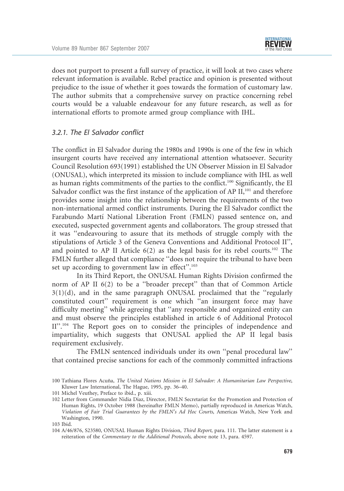does not purport to present a full survey of practice, it will look at two cases where relevant information is available. Rebel practice and opinion is presented without prejudice to the issue of whether it goes towards the formation of customary law. The author submits that a comprehensive survey on practice concerning rebel courts would be a valuable endeavour for any future research, as well as for international efforts to promote armed group compliance with IHL.

#### 3.2.1. The El Salvador conflict

The conflict in El Salvador during the 1980s and 1990s is one of the few in which insurgent courts have received any international attention whatsoever. Security Council Resolution 693(1991) established the UN Observer Mission in El Salvador (ONUSAL), which interpreted its mission to include compliance with IHL as well as human rights commitments of the parties to the conflict.100 Significantly, the El Salvador conflict was the first instance of the application of AP II,<sup>101</sup> and therefore provides some insight into the relationship between the requirements of the two non-international armed conflict instruments. During the El Salvador conflict the Farabundo Martí National Liberation Front (FMLN) passed sentence on, and executed, suspected government agents and collaborators. The group stressed that it was ''endeavouring to assure that its methods of struggle comply with the stipulations of Article 3 of the Geneva Conventions and Additional Protocol II'', and pointed to AP II Article  $6(2)$  as the legal basis for its rebel courts.<sup>102</sup> The FMLN further alleged that compliance "does not require the tribunal to have been set up according to government law in effect".<sup>103</sup>

In its Third Report, the ONUSAL Human Rights Division confirmed the norm of AP II 6(2) to be a ''broader precept'' than that of Common Article  $3(1)(d)$ , and in the same paragraph ONUSAL proclaimed that the "regularly constituted court" requirement is one which "an insurgent force may have difficulty meeting'' while agreeing that ''any responsible and organized entity can and must observe the principles established in article 6 of Additional Protocol II".<sup>104</sup> The Report goes on to consider the principles of independence and impartiality, which suggests that ONUSAL applied the AP II legal basis requirement exclusively.

The FMLN sentenced individuals under its own ''penal procedural law'' that contained precise sanctions for each of the commonly committed infractions

<sup>100</sup> Tathiana Flores Acuña, The United Nations Mission in El Salvador: A Humanitarian Law Perspective, Kluwer Law International, The Hague, 1995, pp. 36–40.

<sup>101</sup> Michel Veuthey, Preface to ibid., p. xiii.

<sup>102</sup> Letter from Commander Nidia Diaz, Director, FMLN Secretariat for the Promotion and Protection of Human Rights, 19 October 1988 (hereinafter FMLN Memo), partially reproduced in Americas Watch, Violation of Fair Trial Guarantees by the FMLN's Ad Hoc Courts, Americas Watch, New York and Washington, 1990.

<sup>103</sup> Ibid.

<sup>104</sup> A/46/876, S23580, ONUSAL Human Rights Division, Third Report, para. 111. The latter statement is a reiteration of the Commentary to the Additional Protocols, above note 13, para. 4597.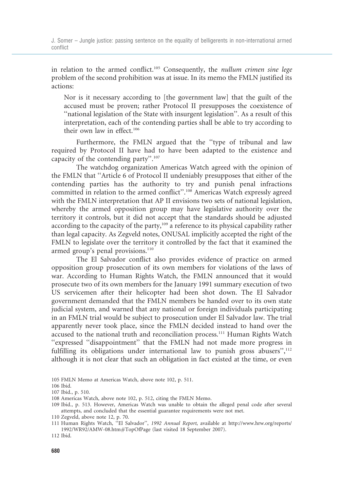in relation to the armed conflict.<sup>105</sup> Consequently, the *nullum crimen sine lege* problem of the second prohibition was at issue. In its memo the FMLN justified its actions:

Nor is it necessary according to [the government law] that the guilt of the accused must be proven; rather Protocol II presupposes the coexistence of "national legislation of the State with insurgent legislation". As a result of this interpretation, each of the contending parties shall be able to try according to their own law in effect.<sup>106</sup>

Furthermore, the FMLN argued that the "type of tribunal and law required by Protocol II have had to have been adapted to the existence and capacity of the contending party''.107

The watchdog organization Americas Watch agreed with the opinion of the FMLN that ''Article 6 of Protocol II undeniably presupposes that either of the contending parties has the authority to try and punish penal infractions committed in relation to the armed conflict''.108 Americas Watch expressly agreed with the FMLN interpretation that AP II envisions two sets of national legislation, whereby the armed opposition group may have legislative authority over the territory it controls, but it did not accept that the standards should be adjusted according to the capacity of the party,<sup>109</sup> a reference to its physical capability rather than legal capacity. As Zegveld notes, ONUSAL implicitly accepted the right of the FMLN to legislate over the territory it controlled by the fact that it examined the armed group's penal provisions.<sup>110</sup>

The El Salvador conflict also provides evidence of practice on armed opposition group prosecution of its own members for violations of the laws of war. According to Human Rights Watch, the FMLN announced that it would prosecute two of its own members for the January 1991 summary execution of two US servicemen after their helicopter had been shot down. The El Salvador government demanded that the FMLN members be handed over to its own state judicial system, and warned that any national or foreign individuals participating in an FMLN trial would be subject to prosecution under El Salvador law. The trial apparently never took place, since the FMLN decided instead to hand over the accused to the national truth and reconciliation process.<sup>111</sup> Human Rights Watch "expressed "disappointment" that the FMLN had not made more progress in fulfilling its obligations under international law to punish gross abusers", $^{112}$ although it is not clear that such an obligation in fact existed at the time, or even

<sup>105</sup> FMLN Memo at Americas Watch, above note 102, p. 511.

<sup>106</sup> Ibid.

<sup>107</sup> Ibid., p. 510.

<sup>108</sup> Americas Watch, above note 102, p. 512, citing the FMLN Memo.

<sup>109</sup> Ibid., p. 513. However, Americas Watch was unable to obtain the alleged penal code after several attempts, and concluded that the essential guarantee requirements were not met.

<sup>110</sup> Zegveld, above note 12, p. 70.

<sup>111</sup> Human Rights Watch, ''El Salvador'', 1992 Annual Report, available at http://www.hrw.org/reports/ 1992/WR92/AMW-08.htm*#*TopOfPage (last visited 18 September 2007).

<sup>112</sup> Ibid.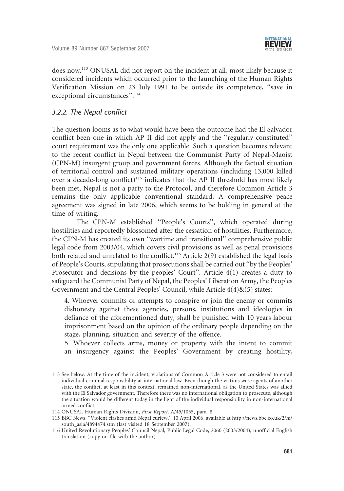does now.113 ONUSAL did not report on the incident at all, most likely because it considered incidents which occurred prior to the launching of the Human Rights Verification Mission on 23 July 1991 to be outside its competence, ''save in exceptional circumstances".<sup>114</sup>

#### 3.2.2. The Nepal conflict

The question looms as to what would have been the outcome had the El Salvador conflict been one in which AP II did not apply and the ''regularly constituted'' court requirement was the only one applicable. Such a question becomes relevant to the recent conflict in Nepal between the Communist Party of Nepal-Maoist (CPN-M) insurgent group and government forces. Although the factual situation of territorial control and sustained military operations (including 13,000 killed over a decade-long conflict)<sup>115</sup> indicates that the AP II threshold has most likely been met, Nepal is not a party to the Protocol, and therefore Common Article 3 remains the only applicable conventional standard. A comprehensive peace agreement was signed in late 2006, which seems to be holding in general at the time of writing.

The CPN-M established ''People's Courts'', which operated during hostilities and reportedly blossomed after the cessation of hostilities. Furthermore, the CPN-M has created its own ''wartime and transitional'' comprehensive public legal code from 2003/04, which covers civil provisions as well as penal provisions both related and unrelated to the conflict.<sup>116</sup> Article 2(9) established the legal basis of People's Courts, stipulating that prosecutions shall be carried out ''by the Peoples' Prosecutor and decisions by the peoples' Court''. Article 4(1) creates a duty to safeguard the Communist Party of Nepal, the Peoples' Liberation Army, the Peoples Government and the Central Peoples' Council, while Article 4(4)&(5) states:

4. Whoever commits or attempts to conspire or join the enemy or commits dishonesty against these agencies, persons, institutions and ideologies in defiance of the aforementioned duty, shall be punished with 10 years labour imprisonment based on the opinion of the ordinary people depending on the stage, planning, situation and severity of the offence.

5. Whoever collects arms, money or property with the intent to commit an insurgency against the Peoples' Government by creating hostility,

<sup>113</sup> See below. At the time of the incident, violations of Common Article 3 were not considered to entail individual criminal responsibility at international law. Even though the victims were agents of another state, the conflict, at least in this context, remained non-international, as the United States was allied with the El Salvador government. Therefore there was no international obligation to prosecute, although the situation would be different today in the light of the individual responsibility in non-international armed conflict.

<sup>114</sup> ONUSAL Human Rights Division, First Report, A/45/1055, para. 8.

<sup>115</sup> BBC News, ''Violent clashes amid Nepal curfew,'' 10 April 2006, available at http://news.bbc.co.uk/2/hi/ south\_asia/4894474.stm (last visited 18 September 2007).

<sup>116</sup> United Revolutionary Peoples' Council Nepal, Public Legal Code, 2060 (2003/2004), unofficial English translation (copy on file with the author).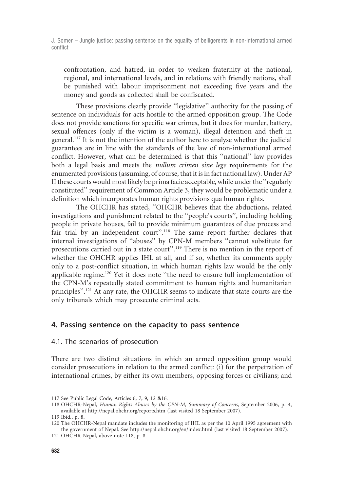confrontation, and hatred, in order to weaken fraternity at the national, regional, and international levels, and in relations with friendly nations, shall be punished with labour imprisonment not exceeding five years and the money and goods as collected shall be confiscated.

These provisions clearly provide ''legislative'' authority for the passing of sentence on individuals for acts hostile to the armed opposition group. The Code does not provide sanctions for specific war crimes, but it does for murder, battery, sexual offences (only if the victim is a woman), illegal detention and theft in general.117 It is not the intention of the author here to analyse whether the judicial guarantees are in line with the standards of the law of non-international armed conflict. However, what can be determined is that this ''national'' law provides both a legal basis and meets the nullum crimen sine lege requirements for the enumerated provisions (assuming, of course, that it is in fact national law). Under AP II these courts would most likely be prima facie acceptable, while under the ''regularly constituted'' requirement of Common Article 3, they would be problematic under a definition which incorporates human rights provisions qua human rights.

The OHCHR has stated, ''OHCHR believes that the abductions, related investigations and punishment related to the ''people's courts'', including holding people in private houses, fail to provide minimum guarantees of due process and fair trial by an independent court".<sup>118</sup> The same report further declares that internal investigations of ''abuses'' by CPN-M members ''cannot substitute for prosecutions carried out in a state court''.119 There is no mention in the report of whether the OHCHR applies IHL at all, and if so, whether its comments apply only to a post-conflict situation, in which human rights law would be the only applicable regime.120 Yet it does note ''the need to ensure full implementation of the CPN-M's repeatedly stated commitment to human rights and humanitarian principles''.121 At any rate, the OHCHR seems to indicate that state courts are the only tribunals which may prosecute criminal acts.

# 4. Passing sentence on the capacity to pass sentence

#### 4.1. The scenarios of prosecution

There are two distinct situations in which an armed opposition group would consider prosecutions in relation to the armed conflict: (i) for the perpetration of international crimes, by either its own members, opposing forces or civilians; and

<sup>117</sup> See Public Legal Code, Articles 6, 7, 9, 12 &16.

<sup>118</sup> OHCHR-Nepal, Human Rights Abuses by the CPN-M, Summary of Concerns, September 2006, p. 4, available at http://nepal.ohchr.org/reports.htm (last visited 18 September 2007).

<sup>119</sup> Ibid., p. 8.

<sup>120</sup> The OHCHR-Nepal mandate includes the monitoring of IHL as per the 10 April 1995 agreement with the government of Nepal. See http://nepal.ohchr.org/en/index.html (last visited 18 September 2007).

<sup>121</sup> OHCHR-Nepal, above note 118, p. 8.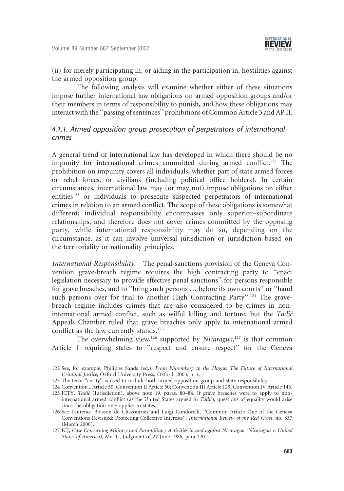

(ii) for merely participating in, or aiding in the participation in, hostilities against the armed opposition group.

The following analysis will examine whether either of these situations impose further international law obligations on armed opposition groups and/or their members in terms of responsibility to punish, and how these obligations may interact with the ''passing of sentences'' prohibitions of Common Article 3 and AP II.

# 4.1.1. Armed opposition group prosecution of perpetrators of international crimes

A general trend of international law has developed in which there should be no impunity for international crimes committed during armed conflict.<sup>122</sup> The prohibition on impunity covers all individuals, whether part of state armed forces or rebel forces, or civilians (including political office holders). In certain circumstances, international law may (or may not) impose obligations on either entities<sup>123</sup> or individuals to prosecute suspected perpetrators of international crimes in relation to an armed conflict. The scope of these obligations is somewhat different; individual responsibility encompasses only superior–subordinate relationships, and therefore does not cover crimes committed by the opposing party, while international responsibility may do so, depending on the circumstance, as it can involve universal jurisdiction or jurisdiction based on the territoriality or nationality principles.

International Responsibility. The penal-sanctions provision of the Geneva Convention grave-breach regime requires the high contracting party to ''enact legislation necessary to provide effective penal sanctions'' for persons responsible for grave breaches, and to ''bring such persons … before its own courts'' or ''hand such persons over for trial to another High Contracting Party".<sup>124</sup> The gravebreach regime includes crimes that are also considered to be crimes in noninternational armed conflict, such as wilful killing and torture, but the Tadić Appeals Chamber ruled that grave breaches only apply to international armed conflict as the law currently stands.<sup>125</sup>

The overwhelming view,<sup>126</sup> supported by Nicaragua,<sup>127</sup> is that common Article 1 requiring states to ''respect and ensure respect'' for the Geneva

<sup>122</sup> See, for example, Philippe Sands (ed.), From Nuremberg to the Hague: The Future of International Criminal Justice, Oxford University Press, Oxford, 2003, p. x.

<sup>123</sup> The term ''entity'' is used to include both armed opposition group and state responsibility.

<sup>124</sup> Convention I Article 50; Convention II Article 50; Convention III Article 129; Convention IV Article 146.

<sup>125</sup> ICTY, Tadić (Jurisdiction), above note 19, paras. 80–84. If grave breaches were to apply to noninternational armed conflict (as the United States argued in Tadić), questions of equality would arise since the obligation only applies to states.

<sup>126</sup> See Laurence Boisson de Chazournes and Luigi Condorelli, ''Common Article One of the Geneva Conventions Revisited: Protecting Collective Interests'', International Review of the Red Cross, no. 837 (March 2000).

<sup>127</sup> ICJ, Case Concerning Military and Paramilitary Activities in and against Nicaragua (Nicaragua v. United States of America), Merits, Judgment of 27 June 1986, para 220.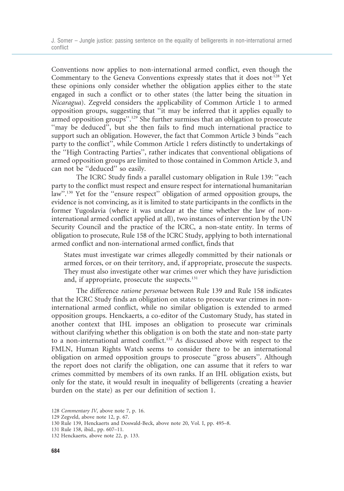Conventions now applies to non-international armed conflict, even though the Commentary to the Geneva Conventions expressly states that it does not<sup>128</sup> Yet these opinions only consider whether the obligation applies either to the state engaged in such a conflict or to other states (the latter being the situation in Nicaragua). Zegveld considers the applicability of Common Article 1 to armed opposition groups, suggesting that ''it may be inferred that it applies equally to armed opposition groups".<sup>129</sup> She further surmises that an obligation to prosecute "may be deduced", but she then fails to find much international practice to support such an obligation. However, the fact that Common Article 3 binds ''each party to the conflict'', while Common Article 1 refers distinctly to undertakings of the ''High Contracting Parties'', rather indicates that conventional obligations of armed opposition groups are limited to those contained in Common Article 3, and can not be ''deduced'' so easily.

The ICRC Study finds a parallel customary obligation in Rule 139: ''each party to the conflict must respect and ensure respect for international humanitarian law".<sup>130</sup> Yet for the "ensure respect" obligation of armed opposition groups, the evidence is not convincing, as it is limited to state participants in the conflicts in the former Yugoslavia (where it was unclear at the time whether the law of noninternational armed conflict applied at all), two instances of intervention by the UN Security Council and the practice of the ICRC, a non-state entity. In terms of obligation to prosecute, Rule 158 of the ICRC Study, applying to both international armed conflict and non-international armed conflict, finds that

States must investigate war crimes allegedly committed by their nationals or armed forces, or on their territory, and, if appropriate, prosecute the suspects. They must also investigate other war crimes over which they have jurisdiction and, if appropriate, prosecute the suspects.<sup>131</sup>

The difference ratione personae between Rule 139 and Rule 158 indicates that the ICRC Study finds an obligation on states to prosecute war crimes in noninternational armed conflict, while no similar obligation is extended to armed opposition groups. Henckaerts, a co-editor of the Customary Study, has stated in another context that IHL imposes an obligation to prosecute war criminals without clarifying whether this obligation is on both the state and non-state party to a non-international armed conflict.132 As discussed above with respect to the FMLN, Human Rights Watch seems to consider there to be an international obligation on armed opposition groups to prosecute ''gross abusers''. Although the report does not clarify the obligation, one can assume that it refers to war crimes committed by members of its own ranks. If an IHL obligation exists, but only for the state, it would result in inequality of belligerents (creating a heavier burden on the state) as per our definition of section 1.

<sup>128</sup> Commentary IV, above note 7, p. 16.

<sup>129</sup> Zegveld, above note 12, p. 67.

<sup>130</sup> Rule 139, Henckaerts and Doswald-Beck, above note 20, Vol. I, pp. 495–8.

<sup>131</sup> Rule 158, ibid., pp. 607–11.

<sup>132</sup> Henckaerts, above note 22, p. 133.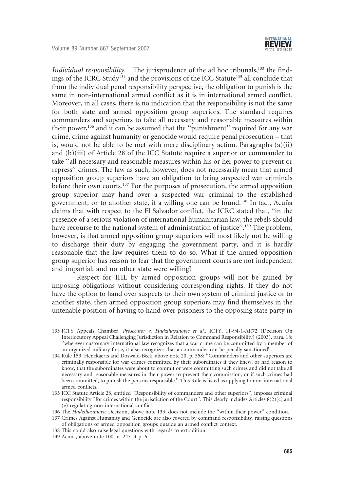

Individual responsibility. The jurisprudence of the ad hoc tribunals,<sup>133</sup> the findings of the ICRC Study134 and the provisions of the ICC Statute135 all conclude that from the individual penal responsibility perspective, the obligation to punish is the same in non-international armed conflict as it is in international armed conflict. Moreover, in all cases, there is no indication that the responsibility is not the same for both state and armed opposition group superiors. The standard requires commanders and superiors to take all necessary and reasonable measures within their power,<sup>136</sup> and it can be assumed that the "punishment" required for any war crime, crime against humanity or genocide would require penal prosecution – that is, would not be able to be met with mere disciplinary action. Paragraphs (a)(ii) and (b)(iii) of Article 28 of the ICC Statute require a superior or commander to take ''all necessary and reasonable measures within his or her power to prevent or repress'' crimes. The law as such, however, does not necessarily mean that armed opposition group superiors have an obligation to bring suspected war criminals before their own courts.<sup>137</sup> For the purposes of prosecution, the armed opposition group superior may hand over a suspected war criminal to the established government, or to another state, if a willing one can be found.<sup>138</sup> In fact, Acuña claims that with respect to the El Salvador conflict, the ICRC stated that, ''in the presence of a serious violation of international humanitarian law, the rebels should have recourse to the national system of administration of justice".<sup>139</sup> The problem, however, is that armed opposition group superiors will most likely not be willing to discharge their duty by engaging the government party, and it is hardly reasonable that the law requires them to do so. What if the armed opposition group superior has reason to fear that the government courts are not independent and impartial, and no other state were willing?

Respect for IHL by armed opposition groups will not be gained by imposing obligations without considering corresponding rights. If they do not have the option to hand over suspects to their own system of criminal justice or to another state, then armed opposition group superiors may find themselves in the untenable position of having to hand over prisoners to the opposing state party in

- 133 ICTY Appeals Chamber, Prosecutor v. Hadzihasanovic et al., ICTY, IT-94-1-AR72 (Decision On Interlocutory Appeal Challenging Jurisdiction in Relation to Command Responsibility) (2003), para. 18: ''wherever customary international law recognizes that a war crime can be committed by a member of an organized military force, it also recognizes that a commander can be penally sanctioned''.
- 134 Rule 153, Henckaerts and Doswald-Beck, above note 20, p. 558: ''Commanders and other superiors are criminally responsible for war crimes committed by their subordinates if they knew, or had reason to know, that the subordinates were about to commit or were committing such crimes and did not take all necessary and reasonable measures in their power to prevent their commission, or if such crimes had been committed, to punish the persons responsible.'' This Rule is listed as applying to non-international armed conflicts.
- 135 ICC Statute Article 28, entitled ''Responsibility of commanders and other superiors'', imposes criminal responsibility ''for crimes within the jurisdiction of the Court''. This clearly includes Articles 8(2)(c) and (e) regulating non-international conflict.
- 136 The Hadzihasanovic Decision, above note 133, does not include the ''within their power'' condition.
- 137 Crimes Against Humanity and Genocide are also covered by command responsibility, raising questions of obligations of armed opposition groups outside an armed conflict context.
- 138 This could also raise legal questions with regards to extradition.
- 139 Acuña, above note 100, n. 247 at p. 6.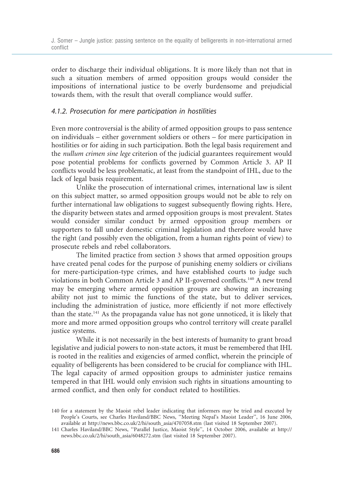order to discharge their individual obligations. It is more likely than not that in such a situation members of armed opposition groups would consider the impositions of international justice to be overly burdensome and prejudicial towards them, with the result that overall compliance would suffer.

# 4.1.2. Prosecution for mere participation in hostilities

Even more controversial is the ability of armed opposition groups to pass sentence on individuals – either government soldiers or others – for mere participation in hostilities or for aiding in such participation. Both the legal basis requirement and the nullum crimen sine lege criterion of the judicial guarantees requirement would pose potential problems for conflicts governed by Common Article 3. AP II conflicts would be less problematic, at least from the standpoint of IHL, due to the lack of legal basis requirement.

Unlike the prosecution of international crimes, international law is silent on this subject matter, so armed opposition groups would not be able to rely on further international law obligations to suggest subsequently flowing rights. Here, the disparity between states and armed opposition groups is most prevalent. States would consider similar conduct by armed opposition group members or supporters to fall under domestic criminal legislation and therefore would have the right (and possibly even the obligation, from a human rights point of view) to prosecute rebels and rebel collaborators.

The limited practice from section 3 shows that armed opposition groups have created penal codes for the purpose of punishing enemy soldiers or civilians for mere-participation-type crimes, and have established courts to judge such violations in both Common Article 3 and AP II-governed conflicts.140 A new trend may be emerging where armed opposition groups are showing an increasing ability not just to mimic the functions of the state, but to deliver services, including the administration of justice, more efficiently if not more effectively than the state.141 As the propaganda value has not gone unnoticed, it is likely that more and more armed opposition groups who control territory will create parallel justice systems.

While it is not necessarily in the best interests of humanity to grant broad legislative and judicial powers to non-state actors, it must be remembered that IHL is rooted in the realities and exigencies of armed conflict, wherein the principle of equality of belligerents has been considered to be crucial for compliance with IHL. The legal capacity of armed opposition groups to administer justice remains tempered in that IHL would only envision such rights in situations amounting to armed conflict, and then only for conduct related to hostilities.

<sup>140</sup> for a statement by the Maoist rebel leader indicating that informers may be tried and executed by People's Courts, see Charles Haviland/BBC News, ''Meeting Nepal's Maoist Leader'', 16 June 2006, available at http://news.bbc.co.uk/2/hi/south\_asia/4707058.stm (last visited 18 September 2007).

<sup>141</sup> Charles Haviland/BBC News, ''Parallel Justice, Maoist Style'', 14 October 2006, available at http:// news.bbc.co.uk/2/hi/south\_asia/6048272.stm (last visited 18 September 2007).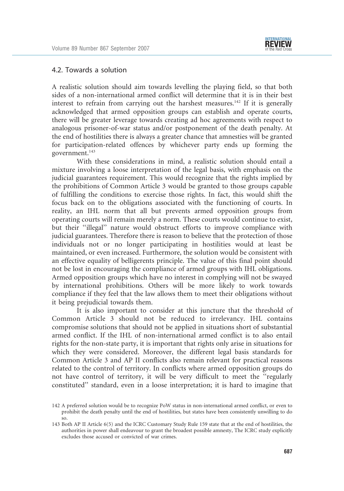

# 4.2. Towards a solution

A realistic solution should aim towards levelling the playing field, so that both sides of a non-international armed conflict will determine that it is in their best interest to refrain from carrying out the harshest measures.<sup>142</sup> If it is generally acknowledged that armed opposition groups can establish and operate courts, there will be greater leverage towards creating ad hoc agreements with respect to analogous prisoner-of-war status and/or postponement of the death penalty. At the end of hostilities there is always a greater chance that amnesties will be granted for participation-related offences by whichever party ends up forming the government.<sup>143</sup>

With these considerations in mind, a realistic solution should entail a mixture involving a loose interpretation of the legal basis, with emphasis on the judicial guarantees requirement. This would recognize that the rights implied by the prohibitions of Common Article 3 would be granted to those groups capable of fulfilling the conditions to exercise those rights. In fact, this would shift the focus back on to the obligations associated with the functioning of courts. In reality, an IHL norm that all but prevents armed opposition groups from operating courts will remain merely a norm. These courts would continue to exist, but their ''illegal'' nature would obstruct efforts to improve compliance with judicial guarantees. Therefore there is reason to believe that the protection of those individuals not or no longer participating in hostilities would at least be maintained, or even increased. Furthermore, the solution would be consistent with an effective equality of belligerents principle. The value of this final point should not be lost in encouraging the compliance of armed groups with IHL obligations. Armed opposition groups which have no interest in complying will not be swayed by international prohibitions. Others will be more likely to work towards compliance if they feel that the law allows them to meet their obligations without it being prejudicial towards them.

It is also important to consider at this juncture that the threshold of Common Article 3 should not be reduced to irrelevancy. IHL contains compromise solutions that should not be applied in situations short of substantial armed conflict. If the IHL of non-international armed conflict is to also entail rights for the non-state party, it is important that rights only arise in situations for which they were considered. Moreover, the different legal basis standards for Common Article 3 and AP II conflicts also remain relevant for practical reasons related to the control of territory. In conflicts where armed opposition groups do not have control of territory, it will be very difficult to meet the ''regularly constituted'' standard, even in a loose interpretation; it is hard to imagine that

<sup>142</sup> A preferred solution would be to recognize PoW status in non-international armed conflict, or even to prohibit the death penalty until the end of hostilities, but states have been consistently unwilling to do so.

<sup>143</sup> Both AP II Article 6(5) and the ICRC Customary Study Rule 159 state that at the end of hostilities, the authorities in power shall endeavour to grant the broadest possible amnesty, The ICRC study explicitly excludes those accused or convicted of war crimes.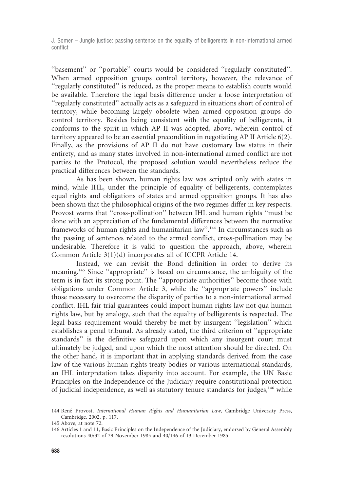''basement'' or ''portable'' courts would be considered ''regularly constituted''. When armed opposition groups control territory, however, the relevance of ''regularly constituted'' is reduced, as the proper means to establish courts would be available. Therefore the legal basis difference under a loose interpretation of ''regularly constituted'' actually acts as a safeguard in situations short of control of territory, while becoming largely obsolete when armed opposition groups do control territory. Besides being consistent with the equality of belligerents, it conforms to the spirit in which AP II was adopted, above, wherein control of territory appeared to be an essential precondition in negotiating AP II Article 6(2). Finally, as the provisions of AP II do not have customary law status in their entirety, and as many states involved in non-international armed conflict are not parties to the Protocol, the proposed solution would nevertheless reduce the practical differences between the standards.

As has been shown, human rights law was scripted only with states in mind, while IHL, under the principle of equality of belligerents, contemplates equal rights and obligations of states and armed opposition groups. It has also been shown that the philosophical origins of the two regimes differ in key respects. Provost warns that "cross-pollination" between IHL and human rights "must be done with an appreciation of the fundamental differences between the normative frameworks of human rights and humanitarian law".<sup>144</sup> In circumstances such as the passing of sentences related to the armed conflict, cross-pollination may be undesirable. Therefore it is valid to question the approach, above, wherein Common Article 3(1)(d) incorporates all of ICCPR Article 14.

Instead, we can revisit the Bond definition in order to derive its meaning.145 Since ''appropriate'' is based on circumstance, the ambiguity of the term is in fact its strong point. The ''appropriate authorities'' become those with obligations under Common Article 3, while the ''appropriate powers'' include those necessary to overcome the disparity of parties to a non-international armed conflict. IHL fair trial guarantees could import human rights law not qua human rights law, but by analogy, such that the equality of belligerents is respected. The legal basis requirement would thereby be met by insurgent ''legislation'' which establishes a penal tribunal. As already stated, the third criterion of ''appropriate standards'' is the definitive safeguard upon which any insurgent court must ultimately be judged, and upon which the most attention should be directed. On the other hand, it is important that in applying standards derived from the case law of the various human rights treaty bodies or various international standards, an IHL interpretation takes disparity into account. For example, the UN Basic Principles on the Independence of the Judiciary require constitutional protection of judicial independence, as well as statutory tenure standards for judges,<sup>146</sup> while

<sup>144</sup> René Provost, International Human Rights and Humanitarian Law, Cambridge University Press, Cambridge, 2002, p. 117.

<sup>145</sup> Above, at note 72.

<sup>146</sup> Articles 1 and 11, Basic Principles on the Independence of the Judiciary, endorsed by General Assembly resolutions 40/32 of 29 November 1985 and 40/146 of 13 December 1985.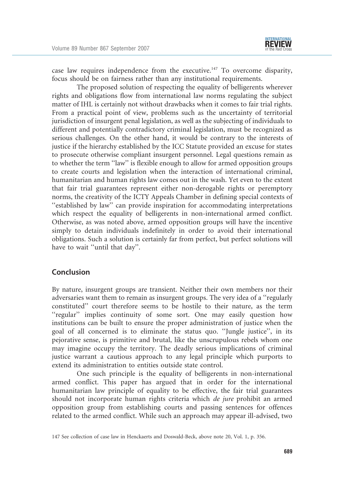

case law requires independence from the executive.<sup>147</sup> To overcome disparity, focus should be on fairness rather than any institutional requirements.

The proposed solution of respecting the equality of belligerents wherever rights and obligations flow from international law norms regulating the subject matter of IHL is certainly not without drawbacks when it comes to fair trial rights. From a practical point of view, problems such as the uncertainty of territorial jurisdiction of insurgent penal legislation, as well as the subjecting of individuals to different and potentially contradictory criminal legislation, must be recognized as serious challenges. On the other hand, it would be contrary to the interests of justice if the hierarchy established by the ICC Statute provided an excuse for states to prosecute otherwise compliant insurgent personnel. Legal questions remain as to whether the term ''law'' is flexible enough to allow for armed opposition groups to create courts and legislation when the interaction of international criminal, humanitarian and human rights law comes out in the wash. Yet even to the extent that fair trial guarantees represent either non-derogable rights or peremptory norms, the creativity of the ICTY Appeals Chamber in defining special contexts of ''established by law'' can provide inspiration for accommodating interpretations which respect the equality of belligerents in non-international armed conflict. Otherwise, as was noted above, armed opposition groups will have the incentive simply to detain individuals indefinitely in order to avoid their international obligations. Such a solution is certainly far from perfect, but perfect solutions will have to wait ''until that day''.

# Conclusion

By nature, insurgent groups are transient. Neither their own members nor their adversaries want them to remain as insurgent groups. The very idea of a ''regularly constituted'' court therefore seems to be hostile to their nature, as the term "regular" implies continuity of some sort. One may easily question how institutions can be built to ensure the proper administration of justice when the goal of all concerned is to eliminate the status quo. ''Jungle justice'', in its pejorative sense, is primitive and brutal, like the unscrupulous rebels whom one may imagine occupy the territory. The deadly serious implications of criminal justice warrant a cautious approach to any legal principle which purports to extend its administration to entities outside state control.

One such principle is the equality of belligerents in non-international armed conflict. This paper has argued that in order for the international humanitarian law principle of equality to be effective, the fair trial guarantees should not incorporate human rights criteria which de jure prohibit an armed opposition group from establishing courts and passing sentences for offences related to the armed conflict. While such an approach may appear ill-advised, two

<sup>147</sup> See collection of case law in Henckaerts and Doswald-Beck, above note 20, Vol. 1, p. 356.